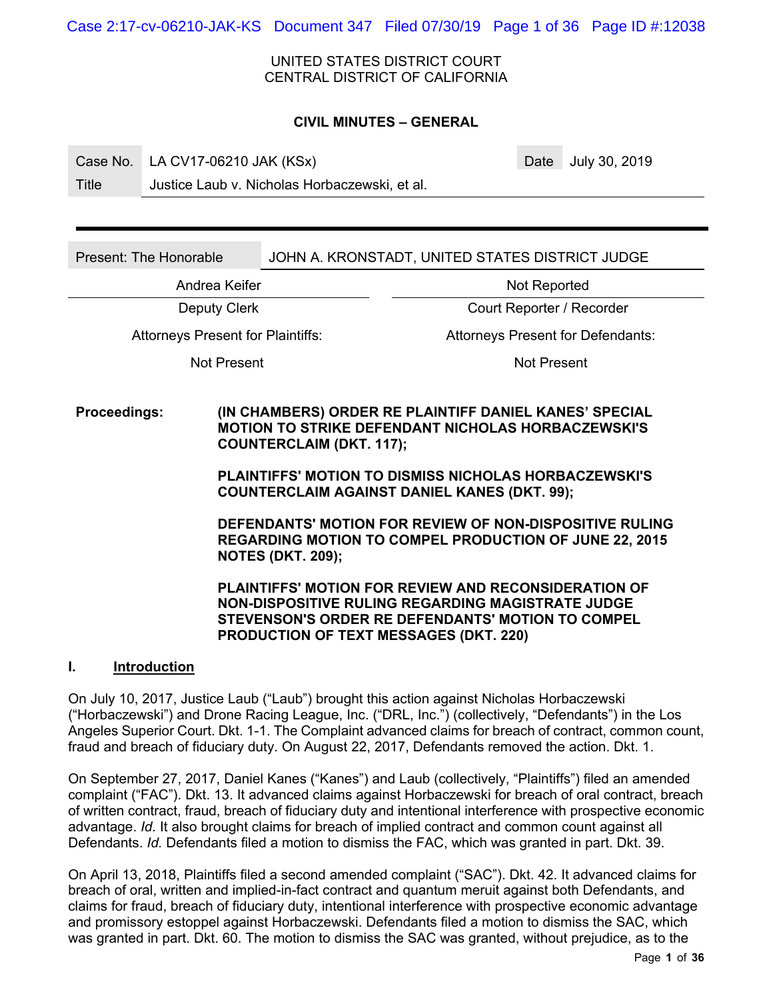Case 2:17-cv-06210-JAK-KS Document 347 Filed 07/30/19 Page 1 of 36 Page ID #:12038

UNITED STATES DISTRICT COURT CENTRAL DISTRICT OF CALIFORNIA

#### **CIVIL MINUTES – GENERAL**

Case No. LA CV17-06210 JAK (KSx) Case No. 2019

Title Justice Laub v. Nicholas Horbaczewski, et al.

Present: The Honorable **JOHN A. KRONSTADT, UNITED STATES DISTRICT JUDGE** 

Andrea Keifer Not Reported

Deputy Clerk Court Reporter / Recorder

Not Present Not Present

Attorneys Present for Plaintiffs: Attorneys Present for Defendants:

**Proceedings: (IN CHAMBERS) ORDER RE PLAINTIFF DANIEL KANES' SPECIAL MOTION TO STRIKE DEFENDANT NICHOLAS HORBACZEWSKI'S COUNTERCLAIM (DKT. 117);** 

> **PLAINTIFFS' MOTION TO DISMISS NICHOLAS HORBACZEWSKI'S COUNTERCLAIM AGAINST DANIEL KANES (DKT. 99);**

**DEFENDANTS' MOTION FOR REVIEW OF NON-DISPOSITIVE RULING REGARDING MOTION TO COMPEL PRODUCTION OF JUNE 22, 2015 NOTES (DKT. 209);** 

**PLAINTIFFS' MOTION FOR REVIEW AND RECONSIDERATION OF NON-DISPOSITIVE RULING REGARDING MAGISTRATE JUDGE STEVENSON'S ORDER RE DEFENDANTS' MOTION TO COMPEL PRODUCTION OF TEXT MESSAGES (DKT. 220)** 

# **I. Introduction**

On July 10, 2017, Justice Laub ("Laub") brought this action against Nicholas Horbaczewski ("Horbaczewski") and Drone Racing League, Inc. ("DRL, Inc.") (collectively, "Defendants") in the Los Angeles Superior Court. Dkt. 1-1. The Complaint advanced claims for breach of contract, common count, fraud and breach of fiduciary duty. On August 22, 2017, Defendants removed the action. Dkt. 1.

On September 27, 2017, Daniel Kanes ("Kanes") and Laub (collectively, "Plaintiffs") filed an amended complaint ("FAC"). Dkt. 13. It advanced claims against Horbaczewski for breach of oral contract, breach of written contract, fraud, breach of fiduciary duty and intentional interference with prospective economic advantage. *Id.* It also brought claims for breach of implied contract and common count against all Defendants. *Id.* Defendants filed a motion to dismiss the FAC, which was granted in part. Dkt. 39.

On April 13, 2018, Plaintiffs filed a second amended complaint ("SAC"). Dkt. 42. It advanced claims for breach of oral, written and implied-in-fact contract and quantum meruit against both Defendants, and claims for fraud, breach of fiduciary duty, intentional interference with prospective economic advantage and promissory estoppel against Horbaczewski. Defendants filed a motion to dismiss the SAC, which was granted in part. Dkt. 60. The motion to dismiss the SAC was granted, without prejudice, as to the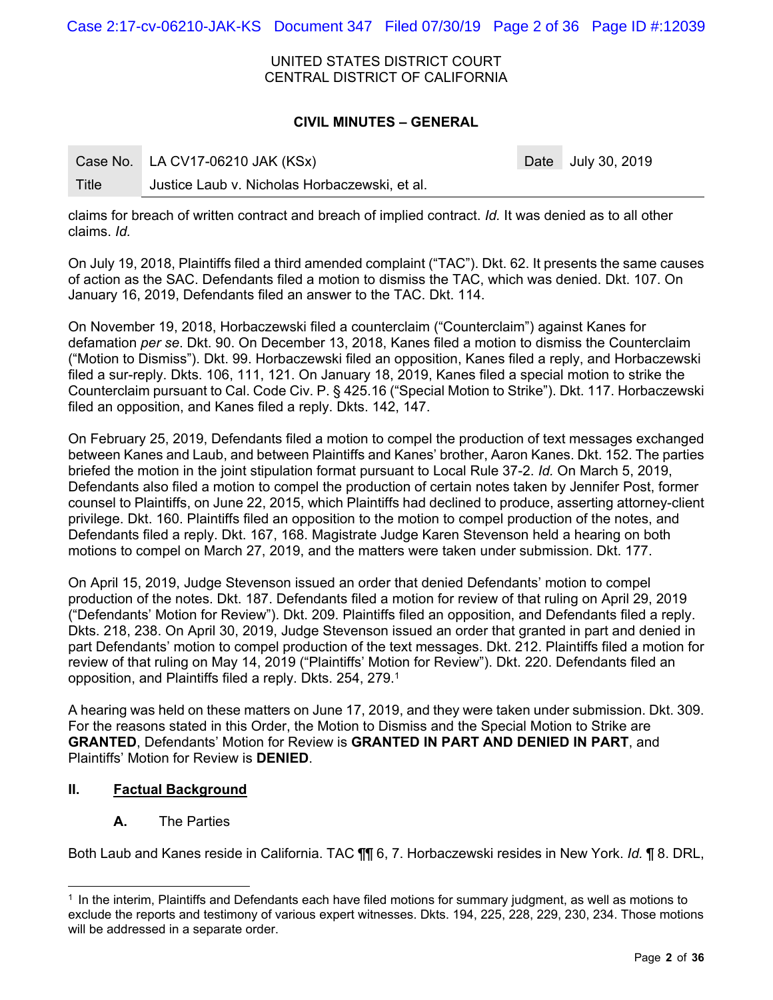Case 2:17-cv-06210-JAK-KS Document 347 Filed 07/30/19 Page 2 of 36 Page ID #:12039

UNITED STATES DISTRICT COURT CENTRAL DISTRICT OF CALIFORNIA

## **CIVIL MINUTES – GENERAL**

|       | Case No. LA CV17-06210 JAK (KSx)              | Date July 30, 2019 |
|-------|-----------------------------------------------|--------------------|
| Title | Justice Laub v. Nicholas Horbaczewski, et al. |                    |

claims for breach of written contract and breach of implied contract. *Id.* It was denied as to all other claims. *Id.* 

On July 19, 2018, Plaintiffs filed a third amended complaint ("TAC"). Dkt. 62. It presents the same causes of action as the SAC. Defendants filed a motion to dismiss the TAC, which was denied. Dkt. 107. On January 16, 2019, Defendants filed an answer to the TAC. Dkt. 114.

On November 19, 2018, Horbaczewski filed a counterclaim ("Counterclaim") against Kanes for defamation *per se*. Dkt. 90. On December 13, 2018, Kanes filed a motion to dismiss the Counterclaim ("Motion to Dismiss"). Dkt. 99. Horbaczewski filed an opposition, Kanes filed a reply, and Horbaczewski filed a sur-reply. Dkts. 106, 111, 121. On January 18, 2019, Kanes filed a special motion to strike the Counterclaim pursuant to Cal. Code Civ. P. § 425.16 ("Special Motion to Strike"). Dkt. 117. Horbaczewski filed an opposition, and Kanes filed a reply. Dkts. 142, 147.

On February 25, 2019, Defendants filed a motion to compel the production of text messages exchanged between Kanes and Laub, and between Plaintiffs and Kanes' brother, Aaron Kanes. Dkt. 152. The parties briefed the motion in the joint stipulation format pursuant to Local Rule 37-2. *Id.* On March 5, 2019, Defendants also filed a motion to compel the production of certain notes taken by Jennifer Post, former counsel to Plaintiffs, on June 22, 2015, which Plaintiffs had declined to produce, asserting attorney-client privilege. Dkt. 160. Plaintiffs filed an opposition to the motion to compel production of the notes, and Defendants filed a reply. Dkt. 167, 168. Magistrate Judge Karen Stevenson held a hearing on both motions to compel on March 27, 2019, and the matters were taken under submission. Dkt. 177.

On April 15, 2019, Judge Stevenson issued an order that denied Defendants' motion to compel production of the notes. Dkt. 187. Defendants filed a motion for review of that ruling on April 29, 2019 ("Defendants' Motion for Review"). Dkt. 209. Plaintiffs filed an opposition, and Defendants filed a reply. Dkts. 218, 238. On April 30, 2019, Judge Stevenson issued an order that granted in part and denied in part Defendants' motion to compel production of the text messages. Dkt. 212. Plaintiffs filed a motion for review of that ruling on May 14, 2019 ("Plaintiffs' Motion for Review"). Dkt. 220. Defendants filed an opposition, and Plaintiffs filed a reply. Dkts. 254, 279.1

A hearing was held on these matters on June 17, 2019, and they were taken under submission. Dkt. 309. For the reasons stated in this Order, the Motion to Dismiss and the Special Motion to Strike are **GRANTED**, Defendants' Motion for Review is **GRANTED IN PART AND DENIED IN PART**, and Plaintiffs' Motion for Review is **DENIED**.

# **II. Factual Background**

# **A.** The Parties

Both Laub and Kanes reside in California. TAC ¶¶ 6, 7. Horbaczewski resides in New York. *Id.* ¶ 8. DRL,

 $1$  In the interim, Plaintiffs and Defendants each have filed motions for summary judgment, as well as motions to exclude the reports and testimony of various expert witnesses. Dkts. 194, 225, 228, 229, 230, 234. Those motions will be addressed in a separate order.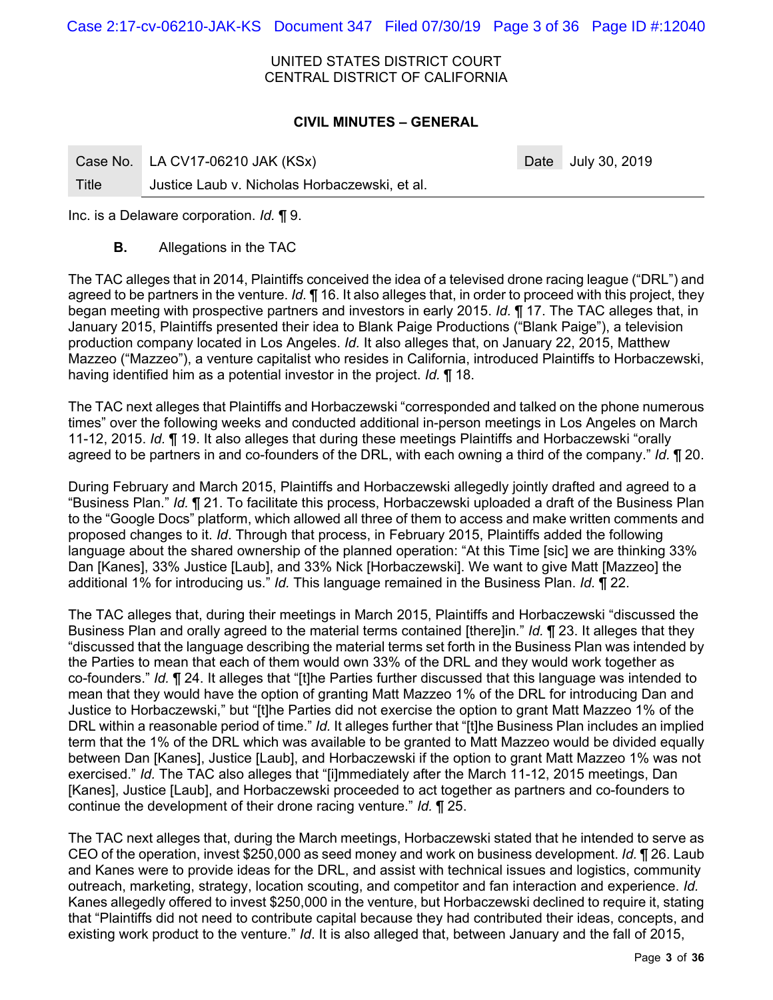Case 2:17-cv-06210-JAK-KS Document 347 Filed 07/30/19 Page 3 of 36 Page ID #:12040

UNITED STATES DISTRICT COURT CENTRAL DISTRICT OF CALIFORNIA

#### **CIVIL MINUTES – GENERAL**

|       | Case No. LA CV17-06210 JAK (KSx)              | Date July 30, 2019 |
|-------|-----------------------------------------------|--------------------|
| Title | Justice Laub v. Nicholas Horbaczewski, et al. |                    |

Inc. is a Delaware corporation. *Id.* ¶ 9.

**B.** Allegations in the TAC

The TAC alleges that in 2014, Plaintiffs conceived the idea of a televised drone racing league ("DRL") and agreed to be partners in the venture. *Id.* ¶ 16. It also alleges that, in order to proceed with this project, they began meeting with prospective partners and investors in early 2015. *Id.* ¶ 17. The TAC alleges that, in January 2015, Plaintiffs presented their idea to Blank Paige Productions ("Blank Paige"), a television production company located in Los Angeles. *Id.* It also alleges that, on January 22, 2015, Matthew Mazzeo ("Mazzeo"), a venture capitalist who resides in California, introduced Plaintiffs to Horbaczewski, having identified him as a potential investor in the project. *Id.* ¶ 18.

The TAC next alleges that Plaintiffs and Horbaczewski "corresponded and talked on the phone numerous times" over the following weeks and conducted additional in-person meetings in Los Angeles on March 11-12, 2015. *Id.* ¶ 19. It also alleges that during these meetings Plaintiffs and Horbaczewski "orally agreed to be partners in and co-founders of the DRL, with each owning a third of the company." *Id.* ¶ 20.

During February and March 2015, Plaintiffs and Horbaczewski allegedly jointly drafted and agreed to a "Business Plan." *Id.* ¶ 21. To facilitate this process, Horbaczewski uploaded a draft of the Business Plan to the "Google Docs" platform, which allowed all three of them to access and make written comments and proposed changes to it. *Id*. Through that process, in February 2015, Plaintiffs added the following language about the shared ownership of the planned operation: "At this Time [sic] we are thinking 33% Dan [Kanes], 33% Justice [Laub], and 33% Nick [Horbaczewski]. We want to give Matt [Mazzeo] the additional 1% for introducing us." *Id.* This language remained in the Business Plan. *Id.* ¶ 22.

The TAC alleges that, during their meetings in March 2015, Plaintiffs and Horbaczewski "discussed the Business Plan and orally agreed to the material terms contained [there]in." *Id.* ¶ 23. It alleges that they "discussed that the language describing the material terms set forth in the Business Plan was intended by the Parties to mean that each of them would own 33% of the DRL and they would work together as co-founders." *Id.* ¶ 24. It alleges that "[t]he Parties further discussed that this language was intended to mean that they would have the option of granting Matt Mazzeo 1% of the DRL for introducing Dan and Justice to Horbaczewski," but "[t]he Parties did not exercise the option to grant Matt Mazzeo 1% of the DRL within a reasonable period of time." *Id.* It alleges further that "[t]he Business Plan includes an implied term that the 1% of the DRL which was available to be granted to Matt Mazzeo would be divided equally between Dan [Kanes], Justice [Laub], and Horbaczewski if the option to grant Matt Mazzeo 1% was not exercised." *Id.* The TAC also alleges that "[i]mmediately after the March 11-12, 2015 meetings, Dan [Kanes], Justice [Laub], and Horbaczewski proceeded to act together as partners and co-founders to continue the development of their drone racing venture." *Id.* ¶ 25.

The TAC next alleges that, during the March meetings, Horbaczewski stated that he intended to serve as CEO of the operation, invest \$250,000 as seed money and work on business development. *Id.* ¶ 26. Laub and Kanes were to provide ideas for the DRL, and assist with technical issues and logistics, community outreach, marketing, strategy, location scouting, and competitor and fan interaction and experience. *Id.* Kanes allegedly offered to invest \$250,000 in the venture, but Horbaczewski declined to require it, stating that "Plaintiffs did not need to contribute capital because they had contributed their ideas, concepts, and existing work product to the venture." *Id*. It is also alleged that, between January and the fall of 2015,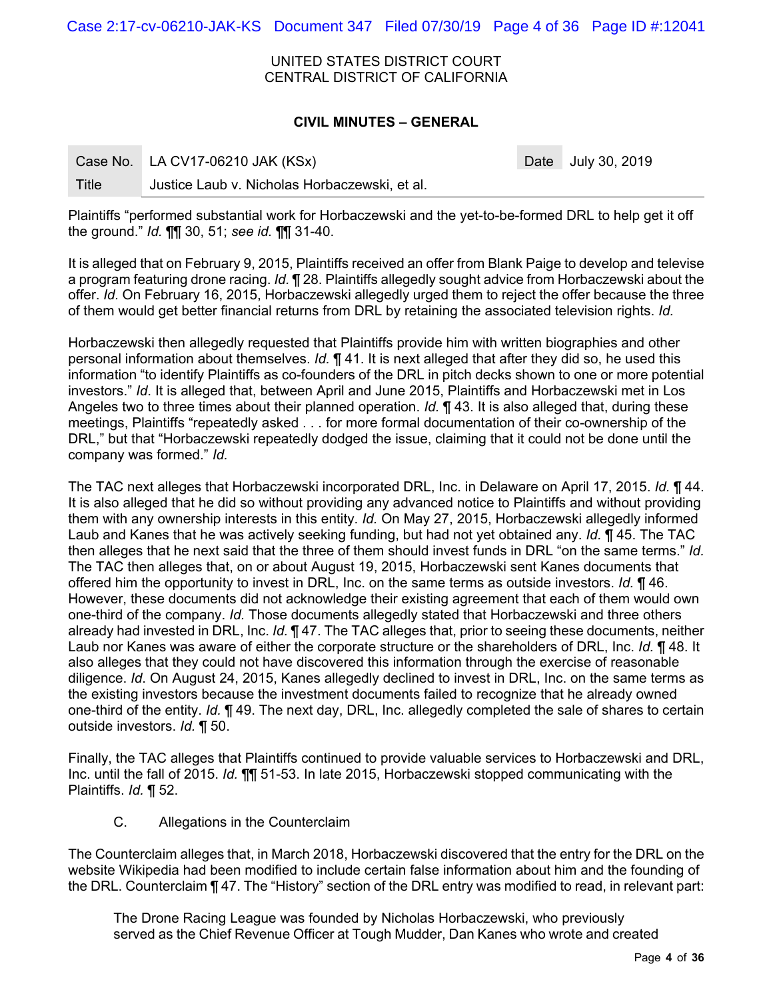Case 2:17-cv-06210-JAK-KS Document 347 Filed 07/30/19 Page 4 of 36 Page ID #:12041

UNITED STATES DISTRICT COURT CENTRAL DISTRICT OF CALIFORNIA

#### **CIVIL MINUTES – GENERAL**

|       | Case No. LA CV17-06210 JAK (KSx)              | Date July 30, 2019 |
|-------|-----------------------------------------------|--------------------|
| Title | Justice Laub v. Nicholas Horbaczewski, et al. |                    |

Plaintiffs "performed substantial work for Horbaczewski and the yet-to-be-formed DRL to help get it off the ground." *Id.* ¶¶ 30, 51; *see id.* ¶¶ 31-40.

It is alleged that on February 9, 2015, Plaintiffs received an offer from Blank Paige to develop and televise a program featuring drone racing. *Id.* ¶ 28. Plaintiffs allegedly sought advice from Horbaczewski about the offer. *Id.* On February 16, 2015, Horbaczewski allegedly urged them to reject the offer because the three of them would get better financial returns from DRL by retaining the associated television rights. *Id.*

Horbaczewski then allegedly requested that Plaintiffs provide him with written biographies and other personal information about themselves. *Id.* ¶ 41. It is next alleged that after they did so, he used this information "to identify Plaintiffs as co-founders of the DRL in pitch decks shown to one or more potential investors." *Id*. It is alleged that, between April and June 2015, Plaintiffs and Horbaczewski met in Los Angeles two to three times about their planned operation. *Id.* ¶ 43. It is also alleged that, during these meetings, Plaintiffs "repeatedly asked . . . for more formal documentation of their co-ownership of the DRL," but that "Horbaczewski repeatedly dodged the issue, claiming that it could not be done until the company was formed." *Id.* 

The TAC next alleges that Horbaczewski incorporated DRL, Inc. in Delaware on April 17, 2015. *Id.* ¶ 44. It is also alleged that he did so without providing any advanced notice to Plaintiffs and without providing them with any ownership interests in this entity. *Id.* On May 27, 2015, Horbaczewski allegedly informed Laub and Kanes that he was actively seeking funding, but had not yet obtained any. *Id.* ¶ 45. The TAC then alleges that he next said that the three of them should invest funds in DRL "on the same terms." *Id.* The TAC then alleges that, on or about August 19, 2015, Horbaczewski sent Kanes documents that offered him the opportunity to invest in DRL, Inc. on the same terms as outside investors. *Id.* ¶ 46. However, these documents did not acknowledge their existing agreement that each of them would own one-third of the company. *Id.* Those documents allegedly stated that Horbaczewski and three others already had invested in DRL, Inc. *Id.* ¶ 47. The TAC alleges that, prior to seeing these documents, neither Laub nor Kanes was aware of either the corporate structure or the shareholders of DRL, Inc. *Id.* ¶ 48. It also alleges that they could not have discovered this information through the exercise of reasonable diligence. *Id*. On August 24, 2015, Kanes allegedly declined to invest in DRL, Inc. on the same terms as the existing investors because the investment documents failed to recognize that he already owned one-third of the entity. *Id.* ¶ 49. The next day, DRL, Inc. allegedly completed the sale of shares to certain outside investors. *Id.* ¶ 50.

Finally, the TAC alleges that Plaintiffs continued to provide valuable services to Horbaczewski and DRL, Inc. until the fall of 2015. *Id.* ¶¶ 51-53. In late 2015, Horbaczewski stopped communicating with the Plaintiffs. *Id.* ¶ 52.

C. Allegations in the Counterclaim

The Counterclaim alleges that, in March 2018, Horbaczewski discovered that the entry for the DRL on the website Wikipedia had been modified to include certain false information about him and the founding of the DRL. Counterclaim ¶ 47. The "History" section of the DRL entry was modified to read, in relevant part:

The Drone Racing League was founded by Nicholas Horbaczewski, who previously served as the Chief Revenue Officer at Tough Mudder, Dan Kanes who wrote and created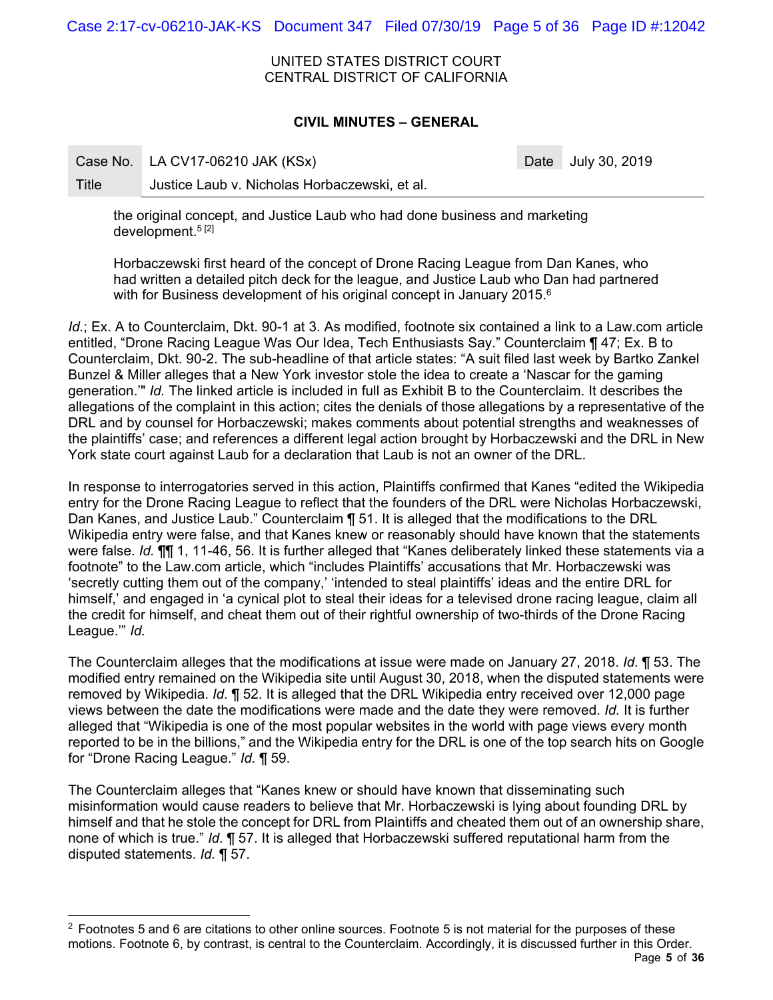Case 2:17-cv-06210-JAK-KS Document 347 Filed 07/30/19 Page 5 of 36 Page ID #:12042

UNITED STATES DISTRICT COURT CENTRAL DISTRICT OF CALIFORNIA

## **CIVIL MINUTES – GENERAL**

Case No. LA CV17-06210 JAK (KSx) Case No. 2019

 $\overline{a}$ 

Title Justice Laub v. Nicholas Horbaczewski, et al.

the original concept, and Justice Laub who had done business and marketing development.<sup>5[2]</sup>

Horbaczewski first heard of the concept of Drone Racing League from Dan Kanes, who had written a detailed pitch deck for the league, and Justice Laub who Dan had partnered with for Business development of his original concept in January 2015.<sup>6</sup>

*Id.*; Ex. A to Counterclaim, Dkt. 90-1 at 3. As modified, footnote six contained a link to a Law.com article entitled, "Drone Racing League Was Our Idea, Tech Enthusiasts Say." Counterclaim ¶ 47; Ex. B to Counterclaim, Dkt. 90-2. The sub-headline of that article states: "A suit filed last week by Bartko Zankel Bunzel & Miller alleges that a New York investor stole the idea to create a 'Nascar for the gaming generation.'" *Id.* The linked article is included in full as Exhibit B to the Counterclaim. It describes the allegations of the complaint in this action; cites the denials of those allegations by a representative of the DRL and by counsel for Horbaczewski; makes comments about potential strengths and weaknesses of the plaintiffs' case; and references a different legal action brought by Horbaczewski and the DRL in New York state court against Laub for a declaration that Laub is not an owner of the DRL.

In response to interrogatories served in this action, Plaintiffs confirmed that Kanes "edited the Wikipedia entry for the Drone Racing League to reflect that the founders of the DRL were Nicholas Horbaczewski, Dan Kanes, and Justice Laub." Counterclaim ¶ 51. It is alleged that the modifications to the DRL Wikipedia entry were false, and that Kanes knew or reasonably should have known that the statements were false. *Id.* ¶¶ 1, 11-46, 56. It is further alleged that "Kanes deliberately linked these statements via a footnote" to the Law.com article, which "includes Plaintiffs' accusations that Mr. Horbaczewski was 'secretly cutting them out of the company,' 'intended to steal plaintiffs' ideas and the entire DRL for himself,' and engaged in 'a cynical plot to steal their ideas for a televised drone racing league, claim all the credit for himself, and cheat them out of their rightful ownership of two-thirds of the Drone Racing League.'" *Id.* 

The Counterclaim alleges that the modifications at issue were made on January 27, 2018. *Id.* ¶ 53. The modified entry remained on the Wikipedia site until August 30, 2018, when the disputed statements were removed by Wikipedia. *Id.* ¶ 52. It is alleged that the DRL Wikipedia entry received over 12,000 page views between the date the modifications were made and the date they were removed. *Id.* It is further alleged that "Wikipedia is one of the most popular websites in the world with page views every month reported to be in the billions," and the Wikipedia entry for the DRL is one of the top search hits on Google for "Drone Racing League." *Id.* ¶ 59.

The Counterclaim alleges that "Kanes knew or should have known that disseminating such misinformation would cause readers to believe that Mr. Horbaczewski is lying about founding DRL by himself and that he stole the concept for DRL from Plaintiffs and cheated them out of an ownership share, none of which is true." *Id.* ¶ 57. It is alleged that Horbaczewski suffered reputational harm from the disputed statements. *Id.* ¶ 57.

 $2$  Footnotes 5 and 6 are citations to other online sources. Footnote 5 is not material for the purposes of these motions. Footnote 6, by contrast, is central to the Counterclaim. Accordingly, it is discussed further in this Order.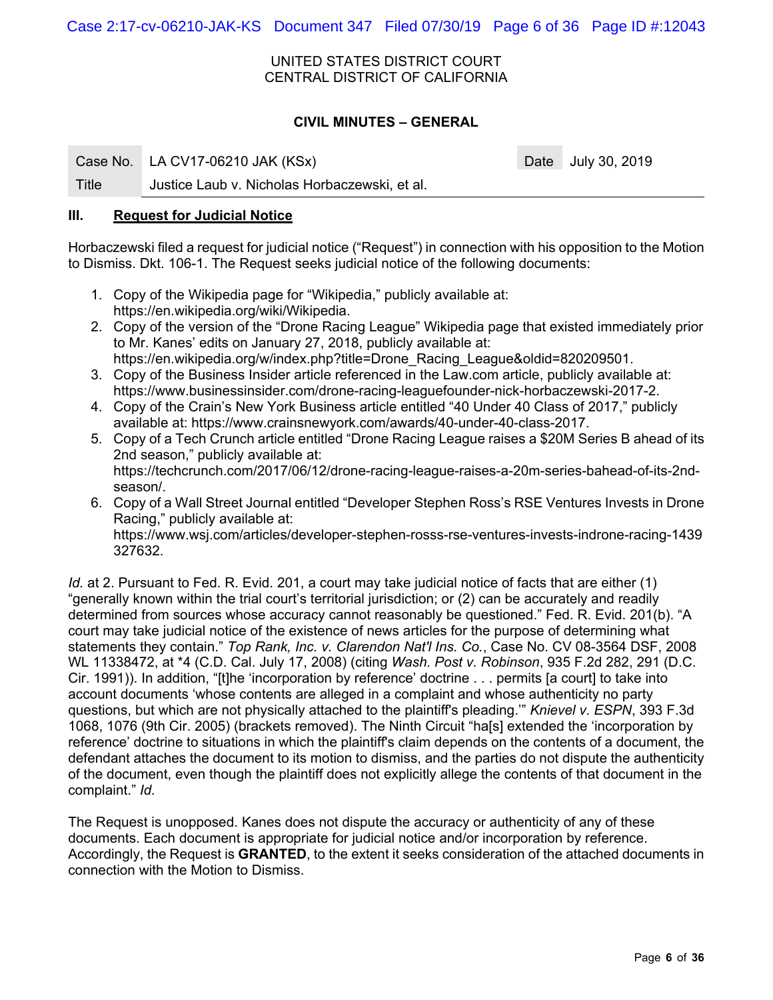Case 2:17-cv-06210-JAK-KS Document 347 Filed 07/30/19 Page 6 of 36 Page ID #:12043

UNITED STATES DISTRICT COURT CENTRAL DISTRICT OF CALIFORNIA

# **CIVIL MINUTES – GENERAL**

Case No. LA CV17-06210 JAK (KSx) Case No. 2019

Title Justice Laub v. Nicholas Horbaczewski, et al.

### **III. Request for Judicial Notice**

Horbaczewski filed a request for judicial notice ("Request") in connection with his opposition to the Motion to Dismiss. Dkt. 106-1. The Request seeks judicial notice of the following documents:

- 1. Copy of the Wikipedia page for "Wikipedia," publicly available at: https://en.wikipedia.org/wiki/Wikipedia.
- 2. Copy of the version of the "Drone Racing League" Wikipedia page that existed immediately prior to Mr. Kanes' edits on January 27, 2018, publicly available at: https://en.wikipedia.org/w/index.php?title=Drone\_Racing\_League&oldid=820209501.
- 3. Copy of the Business Insider article referenced in the Law.com article, publicly available at: https://www.businessinsider.com/drone-racing-leaguefounder-nick-horbaczewski-2017-2.
- 4. Copy of the Crain's New York Business article entitled "40 Under 40 Class of 2017," publicly available at: https://www.crainsnewyork.com/awards/40-under-40-class-2017.
- 5. Copy of a Tech Crunch article entitled "Drone Racing League raises a \$20M Series B ahead of its 2nd season," publicly available at: https://techcrunch.com/2017/06/12/drone-racing-league-raises-a-20m-series-bahead-of-its-2ndseason/.
- 6. Copy of a Wall Street Journal entitled "Developer Stephen Ross's RSE Ventures Invests in Drone Racing," publicly available at: https://www.wsj.com/articles/developer-stephen-rosss-rse-ventures-invests-indrone-racing-1439 327632.

*Id.* at 2. Pursuant to Fed. R. Evid. 201, a court may take judicial notice of facts that are either (1) "generally known within the trial court's territorial jurisdiction; or (2) can be accurately and readily determined from sources whose accuracy cannot reasonably be questioned." Fed. R. Evid. 201(b). "A court may take judicial notice of the existence of news articles for the purpose of determining what statements they contain." *Top Rank, Inc. v. Clarendon Nat'l Ins. Co.*, Case No. CV 08-3564 DSF, 2008 WL 11338472, at \*4 (C.D. Cal. July 17, 2008) (citing *Wash. Post v. Robinson*, 935 F.2d 282, 291 (D.C. Cir. 1991)). In addition, "[t]he 'incorporation by reference' doctrine . . . permits [a court] to take into account documents 'whose contents are alleged in a complaint and whose authenticity no party questions, but which are not physically attached to the plaintiff's pleading.'" *Knievel v. ESPN*, 393 F.3d 1068, 1076 (9th Cir. 2005) (brackets removed). The Ninth Circuit "ha[s] extended the 'incorporation by reference' doctrine to situations in which the plaintiff's claim depends on the contents of a document, the defendant attaches the document to its motion to dismiss, and the parties do not dispute the authenticity of the document, even though the plaintiff does not explicitly allege the contents of that document in the complaint." *Id.* 

The Request is unopposed. Kanes does not dispute the accuracy or authenticity of any of these documents. Each document is appropriate for judicial notice and/or incorporation by reference. Accordingly, the Request is **GRANTED**, to the extent it seeks consideration of the attached documents in connection with the Motion to Dismiss.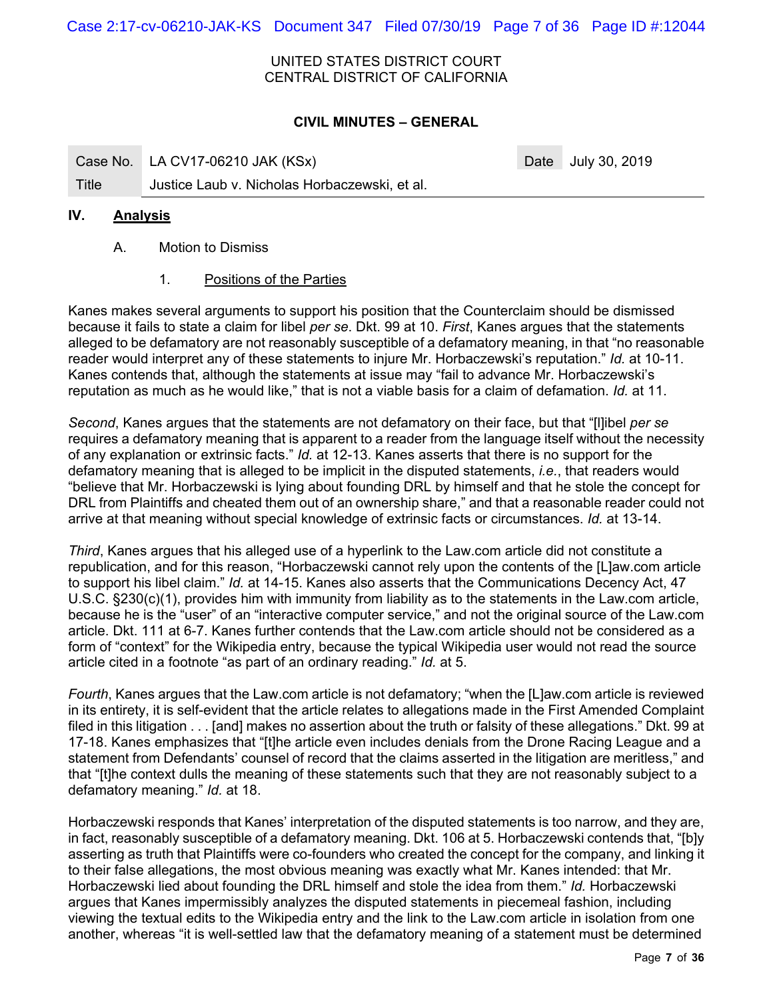Case 2:17-cv-06210-JAK-KS Document 347 Filed 07/30/19 Page 7 of 36 Page ID #:12044

#### UNITED STATES DISTRICT COURT CENTRAL DISTRICT OF CALIFORNIA

## **CIVIL MINUTES – GENERAL**

Case No. LA CV17-06210 JAK (KSx) Case No. 2019

# Title Justice Laub v. Nicholas Horbaczewski, et al.

### **IV. Analysis**

- A. Motion to Dismiss
	- 1. Positions of the Parties

Kanes makes several arguments to support his position that the Counterclaim should be dismissed because it fails to state a claim for libel *per se*. Dkt. 99 at 10. *First*, Kanes argues that the statements alleged to be defamatory are not reasonably susceptible of a defamatory meaning, in that "no reasonable reader would interpret any of these statements to injure Mr. Horbaczewski's reputation." *Id.* at 10-11. Kanes contends that, although the statements at issue may "fail to advance Mr. Horbaczewski's reputation as much as he would like," that is not a viable basis for a claim of defamation. *Id.* at 11.

*Second*, Kanes argues that the statements are not defamatory on their face, but that "[l]ibel *per se* requires a defamatory meaning that is apparent to a reader from the language itself without the necessity of any explanation or extrinsic facts." *Id.* at 12-13. Kanes asserts that there is no support for the defamatory meaning that is alleged to be implicit in the disputed statements, *i.e.*, that readers would "believe that Mr. Horbaczewski is lying about founding DRL by himself and that he stole the concept for DRL from Plaintiffs and cheated them out of an ownership share," and that a reasonable reader could not arrive at that meaning without special knowledge of extrinsic facts or circumstances. *Id.* at 13-14.

*Third*, Kanes argues that his alleged use of a hyperlink to the Law.com article did not constitute a republication, and for this reason, "Horbaczewski cannot rely upon the contents of the [L]aw.com article to support his libel claim." *Id.* at 14-15. Kanes also asserts that the Communications Decency Act, 47 U.S.C. §230(c)(1), provides him with immunity from liability as to the statements in the Law.com article, because he is the "user" of an "interactive computer service," and not the original source of the Law.com article. Dkt. 111 at 6-7. Kanes further contends that the Law.com article should not be considered as a form of "context" for the Wikipedia entry, because the typical Wikipedia user would not read the source article cited in a footnote "as part of an ordinary reading." *Id.* at 5.

*Fourth*, Kanes argues that the Law.com article is not defamatory; "when the [L]aw.com article is reviewed in its entirety, it is self-evident that the article relates to allegations made in the First Amended Complaint filed in this litigation . . . [and] makes no assertion about the truth or falsity of these allegations." Dkt. 99 at 17-18. Kanes emphasizes that "[t]he article even includes denials from the Drone Racing League and a statement from Defendants' counsel of record that the claims asserted in the litigation are meritless," and that "[t]he context dulls the meaning of these statements such that they are not reasonably subject to a defamatory meaning." *Id.* at 18.

Horbaczewski responds that Kanes' interpretation of the disputed statements is too narrow, and they are, in fact, reasonably susceptible of a defamatory meaning. Dkt. 106 at 5. Horbaczewski contends that, "[b]y asserting as truth that Plaintiffs were co-founders who created the concept for the company, and linking it to their false allegations, the most obvious meaning was exactly what Mr. Kanes intended: that Mr. Horbaczewski lied about founding the DRL himself and stole the idea from them." *Id.* Horbaczewski argues that Kanes impermissibly analyzes the disputed statements in piecemeal fashion, including viewing the textual edits to the Wikipedia entry and the link to the Law.com article in isolation from one another, whereas "it is well-settled law that the defamatory meaning of a statement must be determined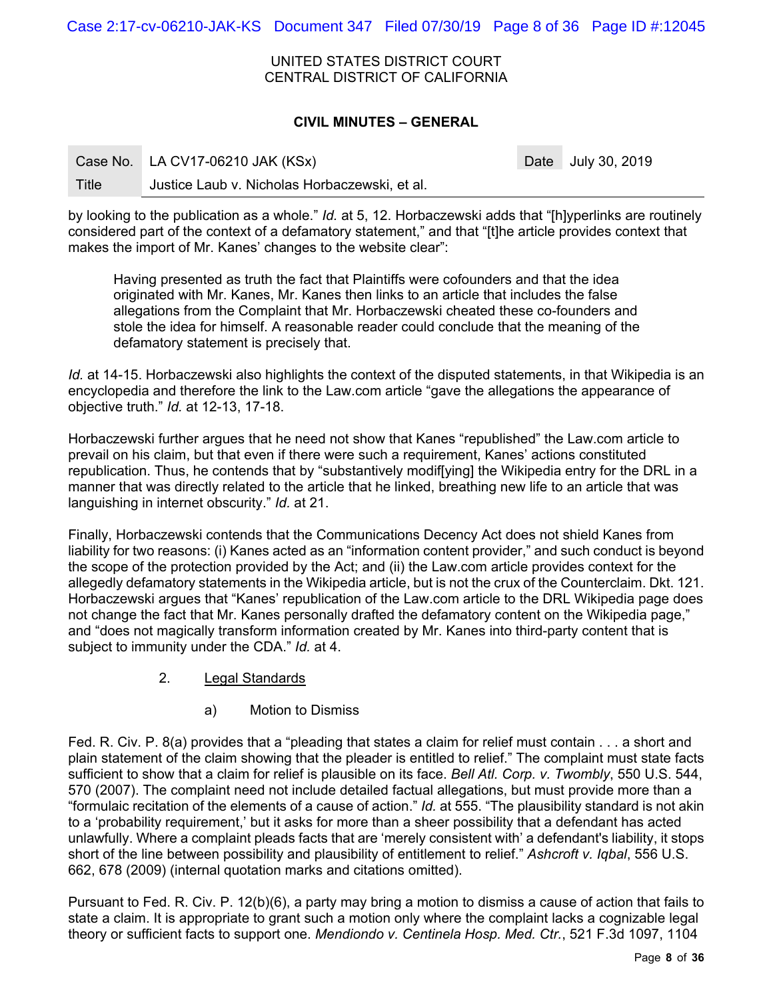Case 2:17-cv-06210-JAK-KS Document 347 Filed 07/30/19 Page 8 of 36 Page ID #:12045

UNITED STATES DISTRICT COURT CENTRAL DISTRICT OF CALIFORNIA

### **CIVIL MINUTES – GENERAL**

|       | Case No. LA CV17-06210 JAK (KSx)              | Date July 30, 2019 |
|-------|-----------------------------------------------|--------------------|
| Title | Justice Laub v. Nicholas Horbaczewski, et al. |                    |

by looking to the publication as a whole." *Id.* at 5, 12. Horbaczewski adds that "[h]yperlinks are routinely considered part of the context of a defamatory statement," and that "[t]he article provides context that makes the import of Mr. Kanes' changes to the website clear":

Having presented as truth the fact that Plaintiffs were cofounders and that the idea originated with Mr. Kanes, Mr. Kanes then links to an article that includes the false allegations from the Complaint that Mr. Horbaczewski cheated these co-founders and stole the idea for himself. A reasonable reader could conclude that the meaning of the defamatory statement is precisely that.

*Id.* at 14-15. Horbaczewski also highlights the context of the disputed statements, in that Wikipedia is an encyclopedia and therefore the link to the Law.com article "gave the allegations the appearance of objective truth." *Id.* at 12-13, 17-18.

Horbaczewski further argues that he need not show that Kanes "republished" the Law.com article to prevail on his claim, but that even if there were such a requirement, Kanes' actions constituted republication. Thus, he contends that by "substantively modif[ying] the Wikipedia entry for the DRL in a manner that was directly related to the article that he linked, breathing new life to an article that was languishing in internet obscurity." *Id.* at 21.

Finally, Horbaczewski contends that the Communications Decency Act does not shield Kanes from liability for two reasons: (i) Kanes acted as an "information content provider," and such conduct is beyond the scope of the protection provided by the Act; and (ii) the Law.com article provides context for the allegedly defamatory statements in the Wikipedia article, but is not the crux of the Counterclaim. Dkt. 121. Horbaczewski argues that "Kanes' republication of the Law.com article to the DRL Wikipedia page does not change the fact that Mr. Kanes personally drafted the defamatory content on the Wikipedia page," and "does not magically transform information created by Mr. Kanes into third-party content that is subject to immunity under the CDA." *Id.* at 4.

- 2. Legal Standards
	- a) Motion to Dismiss

Fed. R. Civ. P. 8(a) provides that a "pleading that states a claim for relief must contain . . . a short and plain statement of the claim showing that the pleader is entitled to relief." The complaint must state facts sufficient to show that a claim for relief is plausible on its face. *Bell Atl. Corp. v. Twombly*, 550 U.S. 544, 570 (2007). The complaint need not include detailed factual allegations, but must provide more than a "formulaic recitation of the elements of a cause of action." *Id.* at 555. "The plausibility standard is not akin to a 'probability requirement,' but it asks for more than a sheer possibility that a defendant has acted unlawfully. Where a complaint pleads facts that are 'merely consistent with' a defendant's liability, it stops short of the line between possibility and plausibility of entitlement to relief." *Ashcroft v. Iqbal*, 556 U.S. 662, 678 (2009) (internal quotation marks and citations omitted).

Pursuant to Fed. R. Civ. P. 12(b)(6), a party may bring a motion to dismiss a cause of action that fails to state a claim. It is appropriate to grant such a motion only where the complaint lacks a cognizable legal theory or sufficient facts to support one. *Mendiondo v. Centinela Hosp. Med. Ctr.*, 521 F.3d 1097, 1104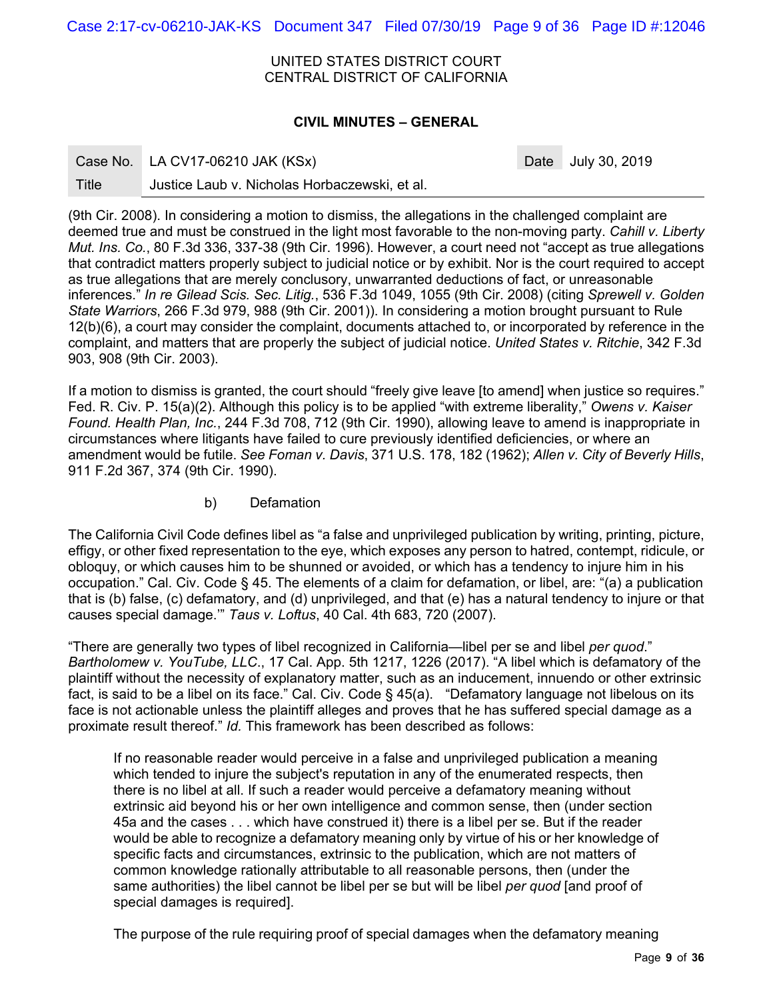Case 2:17-cv-06210-JAK-KS Document 347 Filed 07/30/19 Page 9 of 36 Page ID #:12046

UNITED STATES DISTRICT COURT CENTRAL DISTRICT OF CALIFORNIA

#### **CIVIL MINUTES – GENERAL**

|  | Case No. | LA CV17-06210 JAK (KSx) |
|--|----------|-------------------------|
|--|----------|-------------------------|

Date July 30, 2019

Title Justice Laub v. Nicholas Horbaczewski, et al.

(9th Cir. 2008). In considering a motion to dismiss, the allegations in the challenged complaint are deemed true and must be construed in the light most favorable to the non-moving party. *Cahill v. Liberty Mut. Ins. Co.*, 80 F.3d 336, 337-38 (9th Cir. 1996). However, a court need not "accept as true allegations that contradict matters properly subject to judicial notice or by exhibit. Nor is the court required to accept as true allegations that are merely conclusory, unwarranted deductions of fact, or unreasonable inferences." *In re Gilead Scis. Sec. Litig.*, 536 F.3d 1049, 1055 (9th Cir. 2008) (citing *Sprewell v. Golden State Warriors*, 266 F.3d 979, 988 (9th Cir. 2001)). In considering a motion brought pursuant to Rule 12(b)(6), a court may consider the complaint, documents attached to, or incorporated by reference in the complaint, and matters that are properly the subject of judicial notice. *United States v. Ritchie*, 342 F.3d 903, 908 (9th Cir. 2003).

If a motion to dismiss is granted, the court should "freely give leave [to amend] when justice so requires." Fed. R. Civ. P. 15(a)(2). Although this policy is to be applied "with extreme liberality," *Owens v. Kaiser Found. Health Plan, Inc.*, 244 F.3d 708, 712 (9th Cir. 1990), allowing leave to amend is inappropriate in circumstances where litigants have failed to cure previously identified deficiencies, or where an amendment would be futile. *See Foman v. Davis*, 371 U.S. 178, 182 (1962); *Allen v. City of Beverly Hills*, 911 F.2d 367, 374 (9th Cir. 1990).

b) Defamation

The California Civil Code defines libel as "a false and unprivileged publication by writing, printing, picture, effigy, or other fixed representation to the eye, which exposes any person to hatred, contempt, ridicule, or obloquy, or which causes him to be shunned or avoided, or which has a tendency to injure him in his occupation." Cal. Civ. Code § 45. The elements of a claim for defamation, or libel, are: "(a) a publication that is (b) false, (c) defamatory, and (d) unprivileged, and that (e) has a natural tendency to injure or that causes special damage.'" *Taus v. Loftus*, 40 Cal. 4th 683, 720 (2007).

"There are generally two types of libel recognized in California—libel per se and libel *per quod*." *Bartholomew v. YouTube, LLC*., 17 Cal. App. 5th 1217, 1226 (2017). "A libel which is defamatory of the plaintiff without the necessity of explanatory matter, such as an inducement, innuendo or other extrinsic fact, is said to be a libel on its face." Cal. Civ. Code § 45(a). "Defamatory language not libelous on its face is not actionable unless the plaintiff alleges and proves that he has suffered special damage as a proximate result thereof." *Id.* This framework has been described as follows:

If no reasonable reader would perceive in a false and unprivileged publication a meaning which tended to injure the subject's reputation in any of the enumerated respects, then there is no libel at all. If such a reader would perceive a defamatory meaning without extrinsic aid beyond his or her own intelligence and common sense, then (under section 45a and the cases . . . which have construed it) there is a libel per se. But if the reader would be able to recognize a defamatory meaning only by virtue of his or her knowledge of specific facts and circumstances, extrinsic to the publication, which are not matters of common knowledge rationally attributable to all reasonable persons, then (under the same authorities) the libel cannot be libel per se but will be libel *per quod* [and proof of special damages is required].

The purpose of the rule requiring proof of special damages when the defamatory meaning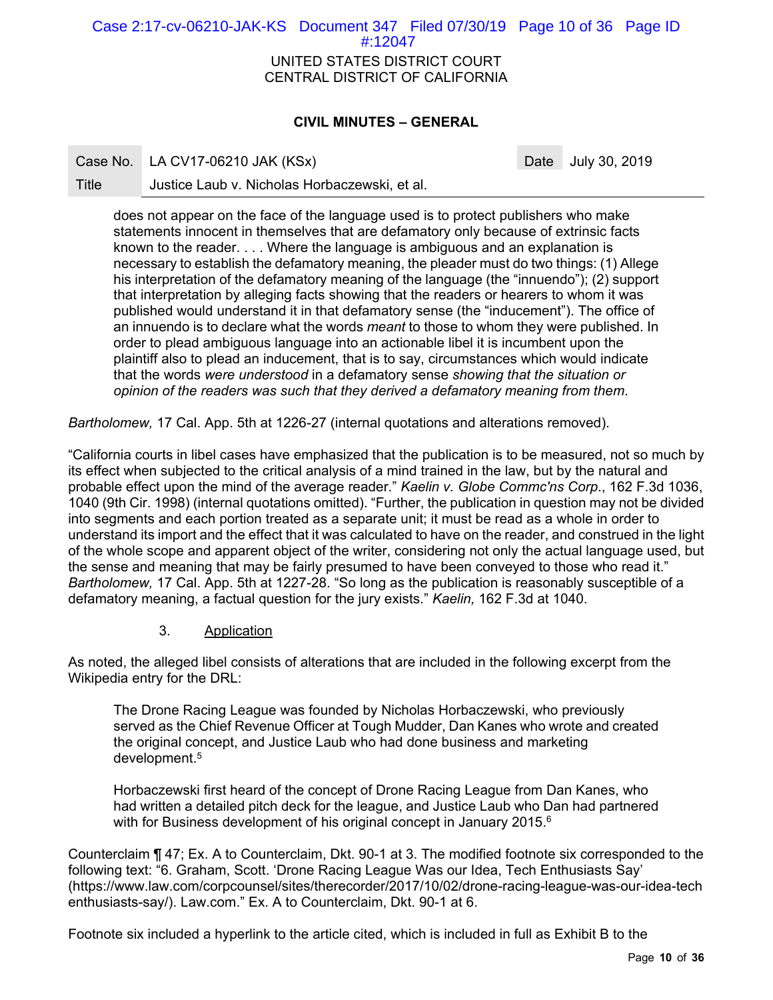UNITED STATES DISTRICT COURT CENTRAL DISTRICT OF CALIFORNIA Case 2:17-cv-06210-JAK-KS Document 347 Filed 07/30/19 Page 10 of 36 Page ID #:12047

# **CIVIL MINUTES – GENERAL**

Case No. LA CV17-06210 JAK (KSx) Case No. 2019

Title Justice Laub v. Nicholas Horbaczewski, et al.

does not appear on the face of the language used is to protect publishers who make statements innocent in themselves that are defamatory only because of extrinsic facts known to the reader. . . . Where the language is ambiguous and an explanation is necessary to establish the defamatory meaning, the pleader must do two things: (1) Allege his interpretation of the defamatory meaning of the language (the "innuendo"); (2) support that interpretation by alleging facts showing that the readers or hearers to whom it was published would understand it in that defamatory sense (the "inducement"). The office of an innuendo is to declare what the words *meant* to those to whom they were published. In order to plead ambiguous language into an actionable libel it is incumbent upon the plaintiff also to plead an inducement, that is to say, circumstances which would indicate that the words *were understood* in a defamatory sense *showing that the situation or opinion of the readers was such that they derived a defamatory meaning from them*.

*Bartholomew,* 17 Cal. App. 5th at 1226-27 (internal quotations and alterations removed).

"California courts in libel cases have emphasized that the publication is to be measured, not so much by its effect when subjected to the critical analysis of a mind trained in the law, but by the natural and probable effect upon the mind of the average reader." *Kaelin v. Globe Commc'ns Corp*., 162 F.3d 1036, 1040 (9th Cir. 1998) (internal quotations omitted). "Further, the publication in question may not be divided into segments and each portion treated as a separate unit; it must be read as a whole in order to understand its import and the effect that it was calculated to have on the reader, and construed in the light of the whole scope and apparent object of the writer, considering not only the actual language used, but the sense and meaning that may be fairly presumed to have been conveyed to those who read it." *Bartholomew,* 17 Cal. App. 5th at 1227-28. "So long as the publication is reasonably susceptible of a defamatory meaning, a factual question for the jury exists." *Kaelin,* 162 F.3d at 1040.

#### 3. Application

As noted, the alleged libel consists of alterations that are included in the following excerpt from the Wikipedia entry for the DRL:

The Drone Racing League was founded by Nicholas Horbaczewski, who previously served as the Chief Revenue Officer at Tough Mudder, Dan Kanes who wrote and created the original concept, and Justice Laub who had done business and marketing development.5

Horbaczewski first heard of the concept of Drone Racing League from Dan Kanes, who had written a detailed pitch deck for the league, and Justice Laub who Dan had partnered with for Business development of his original concept in January 2015.<sup>6</sup>

Counterclaim ¶ 47; Ex. A to Counterclaim, Dkt. 90-1 at 3. The modified footnote six corresponded to the following text: "6. Graham, Scott. 'Drone Racing League Was our Idea, Tech Enthusiasts Say' (https://www.law.com/corpcounsel/sites/therecorder/2017/10/02/drone-racing-league-was-our-idea-tech enthusiasts-say/). Law.com." Ex. A to Counterclaim, Dkt. 90-1 at 6.

Footnote six included a hyperlink to the article cited, which is included in full as Exhibit B to the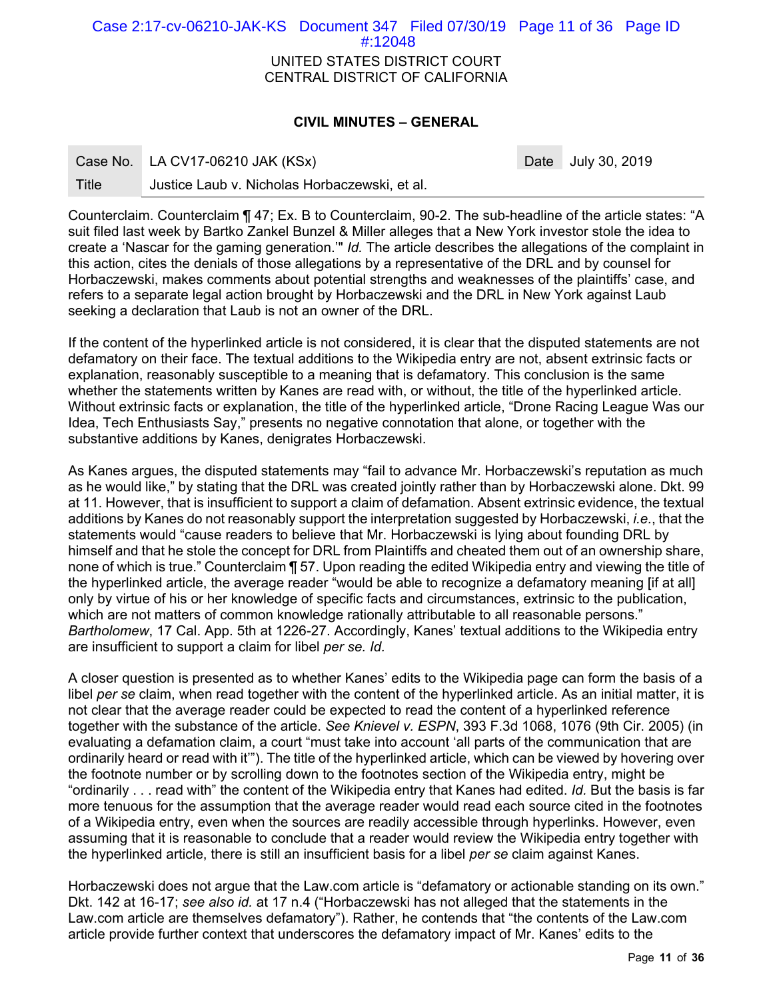UNITED STATES DISTRICT COURT CENTRAL DISTRICT OF CALIFORNIA Case 2:17-cv-06210-JAK-KS Document 347 Filed 07/30/19 Page 11 of 36 Page ID #:12048

# **CIVIL MINUTES – GENERAL**

Date July 30, 2019

Title Justice Laub v. Nicholas Horbaczewski, et al.

Counterclaim. Counterclaim ¶ 47; Ex. B to Counterclaim, 90-2. The sub-headline of the article states: "A suit filed last week by Bartko Zankel Bunzel & Miller alleges that a New York investor stole the idea to create a 'Nascar for the gaming generation.'" *Id.* The article describes the allegations of the complaint in this action, cites the denials of those allegations by a representative of the DRL and by counsel for Horbaczewski, makes comments about potential strengths and weaknesses of the plaintiffs' case, and refers to a separate legal action brought by Horbaczewski and the DRL in New York against Laub seeking a declaration that Laub is not an owner of the DRL.

If the content of the hyperlinked article is not considered, it is clear that the disputed statements are not defamatory on their face. The textual additions to the Wikipedia entry are not, absent extrinsic facts or explanation, reasonably susceptible to a meaning that is defamatory. This conclusion is the same whether the statements written by Kanes are read with, or without, the title of the hyperlinked article. Without extrinsic facts or explanation, the title of the hyperlinked article, "Drone Racing League Was our Idea, Tech Enthusiasts Say," presents no negative connotation that alone, or together with the substantive additions by Kanes, denigrates Horbaczewski.

As Kanes argues, the disputed statements may "fail to advance Mr. Horbaczewski's reputation as much as he would like," by stating that the DRL was created jointly rather than by Horbaczewski alone. Dkt. 99 at 11. However, that is insufficient to support a claim of defamation. Absent extrinsic evidence, the textual additions by Kanes do not reasonably support the interpretation suggested by Horbaczewski, *i.e.*, that the statements would "cause readers to believe that Mr. Horbaczewski is lying about founding DRL by himself and that he stole the concept for DRL from Plaintiffs and cheated them out of an ownership share, none of which is true." Counterclaim ¶ 57. Upon reading the edited Wikipedia entry and viewing the title of the hyperlinked article, the average reader "would be able to recognize a defamatory meaning [if at all] only by virtue of his or her knowledge of specific facts and circumstances, extrinsic to the publication, which are not matters of common knowledge rationally attributable to all reasonable persons." *Bartholomew*, 17 Cal. App. 5th at 1226-27. Accordingly, Kanes' textual additions to the Wikipedia entry are insufficient to support a claim for libel *per se. Id.*

A closer question is presented as to whether Kanes' edits to the Wikipedia page can form the basis of a libel *per se* claim, when read together with the content of the hyperlinked article. As an initial matter, it is not clear that the average reader could be expected to read the content of a hyperlinked reference together with the substance of the article. *See Knievel v. ESPN*, 393 F.3d 1068, 1076 (9th Cir. 2005) (in evaluating a defamation claim, a court "must take into account 'all parts of the communication that are ordinarily heard or read with it'"). The title of the hyperlinked article, which can be viewed by hovering over the footnote number or by scrolling down to the footnotes section of the Wikipedia entry, might be "ordinarily . . . read with" the content of the Wikipedia entry that Kanes had edited. *Id.* But the basis is far more tenuous for the assumption that the average reader would read each source cited in the footnotes of a Wikipedia entry, even when the sources are readily accessible through hyperlinks. However, even assuming that it is reasonable to conclude that a reader would review the Wikipedia entry together with the hyperlinked article, there is still an insufficient basis for a libel *per se* claim against Kanes.

Horbaczewski does not argue that the Law.com article is "defamatory or actionable standing on its own." Dkt. 142 at 16-17; *see also id.* at 17 n.4 ("Horbaczewski has not alleged that the statements in the Law.com article are themselves defamatory"). Rather, he contends that "the contents of the Law.com article provide further context that underscores the defamatory impact of Mr. Kanes' edits to the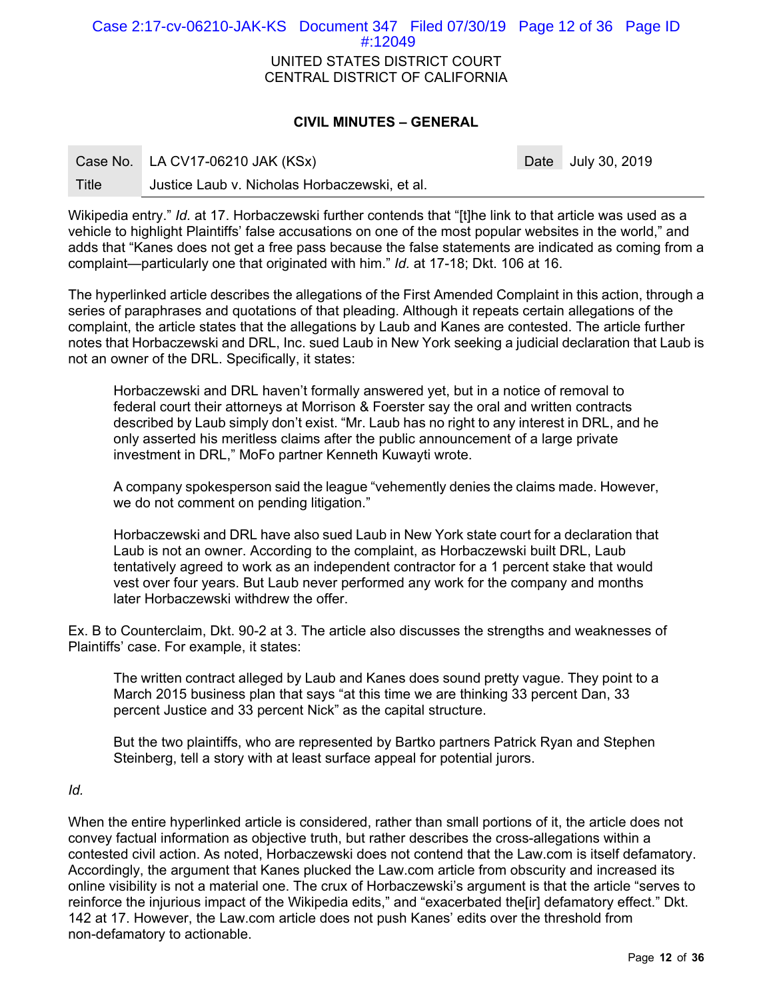UNITED STATES DISTRICT COURT CENTRAL DISTRICT OF CALIFORNIA Case 2:17-cv-06210-JAK-KS Document 347 Filed 07/30/19 Page 12 of 36 Page ID #:12049

# **CIVIL MINUTES – GENERAL**

Date July 30, 2019

Title Justice Laub v. Nicholas Horbaczewski, et al.

Wikipedia entry." *Id.* at 17. Horbaczewski further contends that "[t]he link to that article was used as a vehicle to highlight Plaintiffs' false accusations on one of the most popular websites in the world," and adds that "Kanes does not get a free pass because the false statements are indicated as coming from a complaint—particularly one that originated with him." *Id.* at 17-18; Dkt. 106 at 16.

The hyperlinked article describes the allegations of the First Amended Complaint in this action, through a series of paraphrases and quotations of that pleading. Although it repeats certain allegations of the complaint, the article states that the allegations by Laub and Kanes are contested. The article further notes that Horbaczewski and DRL, Inc. sued Laub in New York seeking a judicial declaration that Laub is not an owner of the DRL. Specifically, it states:

Horbaczewski and DRL haven't formally answered yet, but in a notice of removal to federal court their attorneys at Morrison & Foerster say the oral and written contracts described by Laub simply don't exist. "Mr. Laub has no right to any interest in DRL, and he only asserted his meritless claims after the public announcement of a large private investment in DRL," MoFo partner Kenneth Kuwayti wrote.

A company spokesperson said the league "vehemently denies the claims made. However, we do not comment on pending litigation."

Horbaczewski and DRL have also sued Laub in New York state court for a declaration that Laub is not an owner. According to the complaint, as Horbaczewski built DRL, Laub tentatively agreed to work as an independent contractor for a 1 percent stake that would vest over four years. But Laub never performed any work for the company and months later Horbaczewski withdrew the offer.

Ex. B to Counterclaim, Dkt. 90-2 at 3. The article also discusses the strengths and weaknesses of Plaintiffs' case. For example, it states:

The written contract alleged by Laub and Kanes does sound pretty vague. They point to a March 2015 business plan that says "at this time we are thinking 33 percent Dan, 33 percent Justice and 33 percent Nick" as the capital structure.

But the two plaintiffs, who are represented by Bartko partners Patrick Ryan and Stephen Steinberg, tell a story with at least surface appeal for potential jurors.

*Id.* 

When the entire hyperlinked article is considered, rather than small portions of it, the article does not convey factual information as objective truth, but rather describes the cross-allegations within a contested civil action. As noted, Horbaczewski does not contend that the Law.com is itself defamatory. Accordingly, the argument that Kanes plucked the Law.com article from obscurity and increased its online visibility is not a material one. The crux of Horbaczewski's argument is that the article "serves to reinforce the injurious impact of the Wikipedia edits," and "exacerbated the[ir] defamatory effect." Dkt. 142 at 17. However, the Law.com article does not push Kanes' edits over the threshold from non-defamatory to actionable.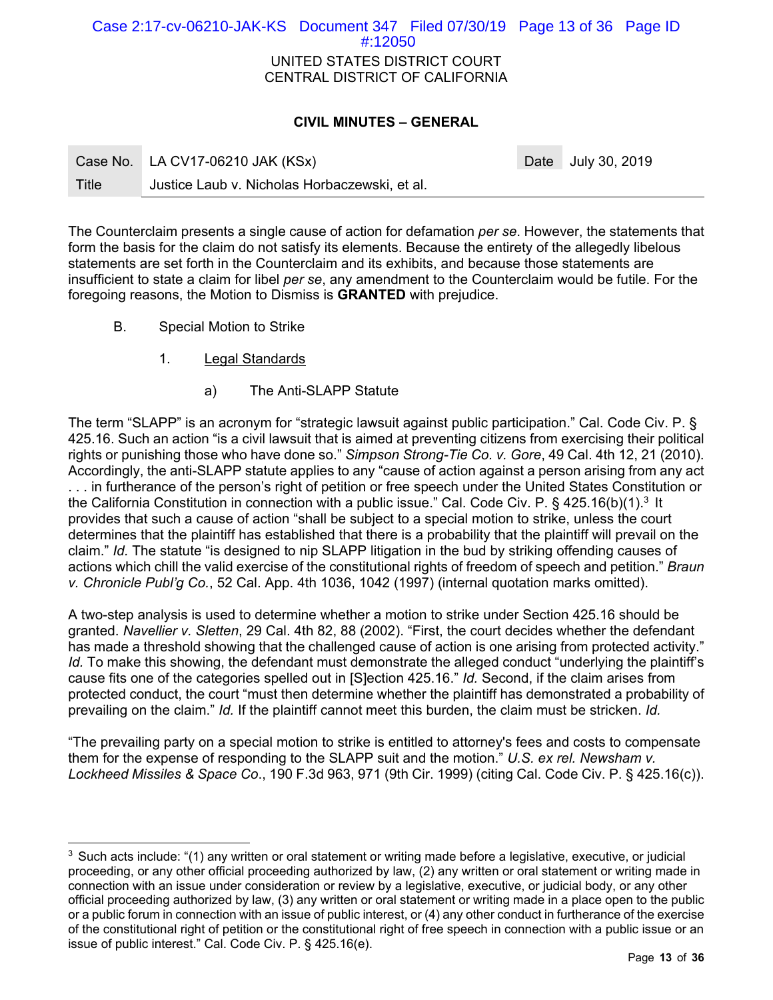# UNITED STATES DISTRICT COURT CENTRAL DISTRICT OF CALIFORNIA Case 2:17-cv-06210-JAK-KS Document 347 Filed 07/30/19 Page 13 of 36 Page ID #:12050

# **CIVIL MINUTES – GENERAL**

|       | Case No. LA CV17-06210 JAK (KSx)              | Date July 30, 2019 |
|-------|-----------------------------------------------|--------------------|
| Title | Justice Laub v. Nicholas Horbaczewski, et al. |                    |

The Counterclaim presents a single cause of action for defamation *per se*. However, the statements that form the basis for the claim do not satisfy its elements. Because the entirety of the allegedly libelous statements are set forth in the Counterclaim and its exhibits, and because those statements are insufficient to state a claim for libel *per se*, any amendment to the Counterclaim would be futile. For the foregoing reasons, the Motion to Dismiss is **GRANTED** with prejudice.

B. Special Motion to Strike

- 1. Legal Standards
	- a) The Anti-SLAPP Statute

The term "SLAPP" is an acronym for "strategic lawsuit against public participation." Cal. Code Civ. P. § 425.16. Such an action "is a civil lawsuit that is aimed at preventing citizens from exercising their political rights or punishing those who have done so." *Simpson Strong-Tie Co. v. Gore*, 49 Cal. 4th 12, 21 (2010). Accordingly, the anti-SLAPP statute applies to any "cause of action against a person arising from any act . . . in furtherance of the person's right of petition or free speech under the United States Constitution or the California Constitution in connection with a public issue." Cal. Code Civ. P. § 425.16(b)(1).<sup>3</sup> It provides that such a cause of action "shall be subject to a special motion to strike, unless the court

determines that the plaintiff has established that there is a probability that the plaintiff will prevail on the claim." *Id.* The statute "is designed to nip SLAPP litigation in the bud by striking offending causes of actions which chill the valid exercise of the constitutional rights of freedom of speech and petition." *Braun v. Chronicle Publ'g Co.*, 52 Cal. App. 4th 1036, 1042 (1997) (internal quotation marks omitted).

A two-step analysis is used to determine whether a motion to strike under Section 425.16 should be granted. *Navellier v. Sletten*, 29 Cal. 4th 82, 88 (2002). "First, the court decides whether the defendant has made a threshold showing that the challenged cause of action is one arising from protected activity." *Id.* To make this showing, the defendant must demonstrate the alleged conduct "underlying the plaintiff's cause fits one of the categories spelled out in [S]ection 425.16." *Id.* Second, if the claim arises from protected conduct, the court "must then determine whether the plaintiff has demonstrated a probability of prevailing on the claim." *Id.* If the plaintiff cannot meet this burden, the claim must be stricken. *Id.*

"The prevailing party on a special motion to strike is entitled to attorney's fees and costs to compensate them for the expense of responding to the SLAPP suit and the motion." *U.S. ex rel. Newsham v. Lockheed Missiles & Space Co*., 190 F.3d 963, 971 (9th Cir. 1999) (citing Cal. Code Civ. P. § 425.16(c)).

 $3$  Such acts include: "(1) any written or oral statement or writing made before a legislative, executive, or judicial proceeding, or any other official proceeding authorized by law, (2) any written or oral statement or writing made in connection with an issue under consideration or review by a legislative, executive, or judicial body, or any other official proceeding authorized by law, (3) any written or oral statement or writing made in a place open to the public or a public forum in connection with an issue of public interest, or (4) any other conduct in furtherance of the exercise of the constitutional right of petition or the constitutional right of free speech in connection with a public issue or an issue of public interest." Cal. Code Civ. P. § 425.16(e).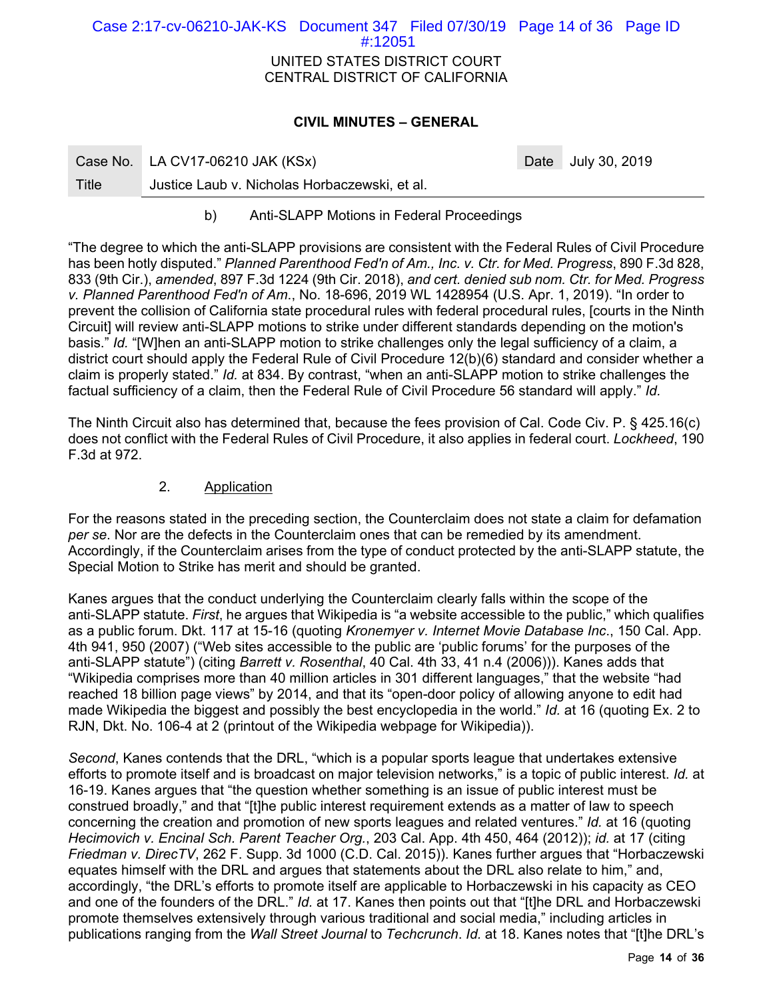| Case 2:17-cv-06210-JAK-KS Document 347 Filed 07/30/19 Page 14 of 36 Page ID |                                |  |  |
|-----------------------------------------------------------------------------|--------------------------------|--|--|
|                                                                             | $\#12051$                      |  |  |
|                                                                             | UNITED STATES DISTRICT COURT   |  |  |
|                                                                             | CENTRAL DISTRICT OF CALIFORNIA |  |  |
|                                                                             |                                |  |  |

### **CIVIL MINUTES – GENERAL**

|       | Case No. LA CV17-06210 JAK (KSx)              | Date July 30, 2019 |
|-------|-----------------------------------------------|--------------------|
| Title | Justice Laub v. Nicholas Horbaczewski, et al. |                    |

b) Anti-SLAPP Motions in Federal Proceedings

"The degree to which the anti-SLAPP provisions are consistent with the Federal Rules of Civil Procedure has been hotly disputed." *Planned Parenthood Fed'n of Am., Inc. v. Ctr. for Med. Progress*, 890 F.3d 828, 833 (9th Cir.), *amended*, 897 F.3d 1224 (9th Cir. 2018), *and cert. denied sub nom. Ctr. for Med. Progress v. Planned Parenthood Fed'n of Am*., No. 18-696, 2019 WL 1428954 (U.S. Apr. 1, 2019). "In order to prevent the collision of California state procedural rules with federal procedural rules, [courts in the Ninth Circuit] will review anti-SLAPP motions to strike under different standards depending on the motion's basis." *Id.* "[W]hen an anti-SLAPP motion to strike challenges only the legal sufficiency of a claim, a district court should apply the Federal Rule of Civil Procedure 12(b)(6) standard and consider whether a claim is properly stated." *Id.* at 834. By contrast, "when an anti-SLAPP motion to strike challenges the factual sufficiency of a claim, then the Federal Rule of Civil Procedure 56 standard will apply." *Id.* 

The Ninth Circuit also has determined that, because the fees provision of Cal. Code Civ. P. § 425.16(c) does not conflict with the Federal Rules of Civil Procedure, it also applies in federal court. *Lockheed*, 190 F.3d at 972.

# 2. Application

For the reasons stated in the preceding section, the Counterclaim does not state a claim for defamation *per se*. Nor are the defects in the Counterclaim ones that can be remedied by its amendment. Accordingly, if the Counterclaim arises from the type of conduct protected by the anti-SLAPP statute, the Special Motion to Strike has merit and should be granted.

Kanes argues that the conduct underlying the Counterclaim clearly falls within the scope of the anti-SLAPP statute. *First*, he argues that Wikipedia is "a website accessible to the public," which qualifies as a public forum. Dkt. 117 at 15-16 (quoting *Kronemyer v. Internet Movie Database Inc*., 150 Cal. App. 4th 941, 950 (2007) ("Web sites accessible to the public are 'public forums' for the purposes of the anti-SLAPP statute") (citing *Barrett v. Rosenthal*, 40 Cal. 4th 33, 41 n.4 (2006))). Kanes adds that "Wikipedia comprises more than 40 million articles in 301 different languages," that the website "had reached 18 billion page views" by 2014, and that its "open-door policy of allowing anyone to edit had made Wikipedia the biggest and possibly the best encyclopedia in the world." *Id.* at 16 (quoting Ex. 2 to RJN, Dkt. No. 106-4 at 2 (printout of the Wikipedia webpage for Wikipedia)).

*Second*, Kanes contends that the DRL, "which is a popular sports league that undertakes extensive efforts to promote itself and is broadcast on major television networks," is a topic of public interest. *Id.* at 16-19. Kanes argues that "the question whether something is an issue of public interest must be construed broadly," and that "[t]he public interest requirement extends as a matter of law to speech concerning the creation and promotion of new sports leagues and related ventures." *Id.* at 16 (quoting *Hecimovich v. Encinal Sch. Parent Teacher Org.*, 203 Cal. App. 4th 450, 464 (2012)); *id.* at 17 (citing *Friedman v. DirecTV*, 262 F. Supp. 3d 1000 (C.D. Cal. 2015)). Kanes further argues that "Horbaczewski equates himself with the DRL and argues that statements about the DRL also relate to him," and, accordingly, "the DRL's efforts to promote itself are applicable to Horbaczewski in his capacity as CEO and one of the founders of the DRL." *Id.* at 17. Kanes then points out that "[t]he DRL and Horbaczewski promote themselves extensively through various traditional and social media," including articles in publications ranging from the *Wall Street Journal* to *Techcrunch*. *Id.* at 18. Kanes notes that "[t]he DRL's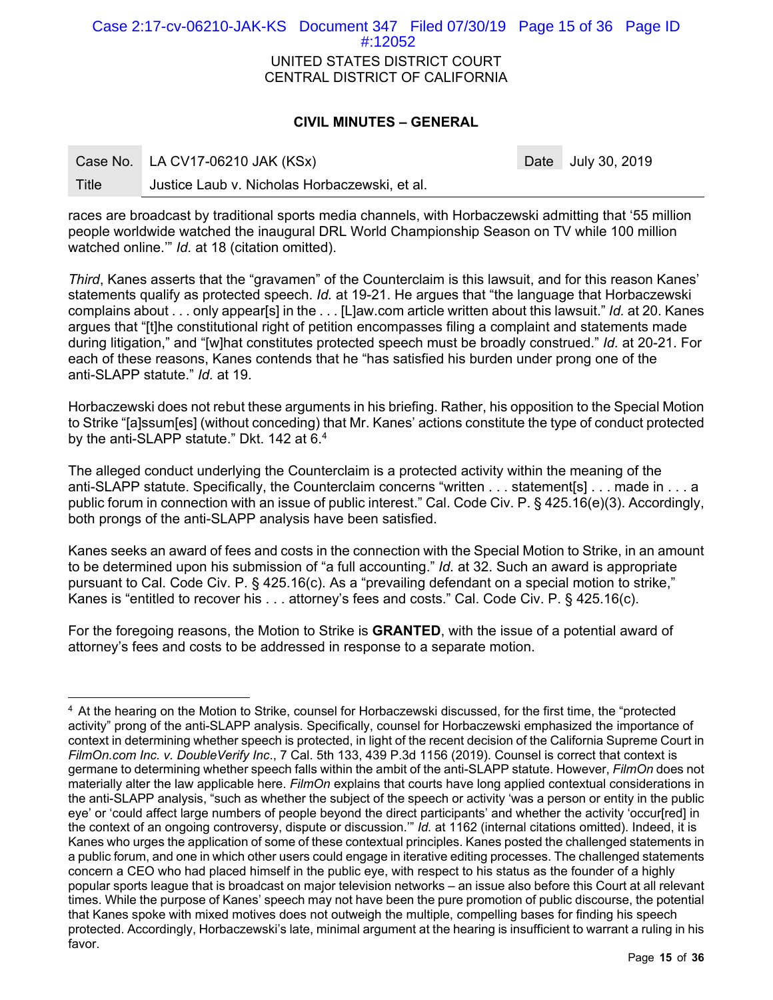UNITED STATES DISTRICT COURT CENTRAL DISTRICT OF CALIFORNIA Case 2:17-cv-06210-JAK-KS Document 347 Filed 07/30/19 Page 15 of 36 Page ID #:12052

### **CIVIL MINUTES – GENERAL**

|       | Case No. LA CV17-06210 JAK (KSx)              | Date July 30, 2019 |
|-------|-----------------------------------------------|--------------------|
| Title | Justice Laub v. Nicholas Horbaczewski, et al. |                    |

races are broadcast by traditional sports media channels, with Horbaczewski admitting that '55 million people worldwide watched the inaugural DRL World Championship Season on TV while 100 million watched online.'" *Id.* at 18 (citation omitted).

*Third*, Kanes asserts that the "gravamen" of the Counterclaim is this lawsuit, and for this reason Kanes' statements qualify as protected speech. *Id.* at 19-21. He argues that "the language that Horbaczewski complains about . . . only appear[s] in the . . . [L]aw.com article written about this lawsuit." *Id.* at 20. Kanes argues that "[t]he constitutional right of petition encompasses filing a complaint and statements made during litigation," and "[w]hat constitutes protected speech must be broadly construed." *Id.* at 20-21. For each of these reasons, Kanes contends that he "has satisfied his burden under prong one of the anti-SLAPP statute." *Id.* at 19.

Horbaczewski does not rebut these arguments in his briefing. Rather, his opposition to the Special Motion to Strike "[a]ssum[es] (without conceding) that Mr. Kanes' actions constitute the type of conduct protected by the anti-SLAPP statute." Dkt. 142 at 6.4

The alleged conduct underlying the Counterclaim is a protected activity within the meaning of the anti-SLAPP statute. Specifically, the Counterclaim concerns "written . . . statement[s] . . . made in . . . a public forum in connection with an issue of public interest." Cal. Code Civ. P. § 425.16(e)(3). Accordingly, both prongs of the anti-SLAPP analysis have been satisfied.

Kanes seeks an award of fees and costs in the connection with the Special Motion to Strike, in an amount to be determined upon his submission of "a full accounting." *Id.* at 32. Such an award is appropriate pursuant to Cal. Code Civ. P. § 425.16(c). As a "prevailing defendant on a special motion to strike," Kanes is "entitled to recover his . . . attorney's fees and costs." Cal. Code Civ. P. § 425.16(c).

For the foregoing reasons, the Motion to Strike is **GRANTED**, with the issue of a potential award of attorney's fees and costs to be addressed in response to a separate motion.

-

<sup>&</sup>lt;sup>4</sup> At the hearing on the Motion to Strike, counsel for Horbaczewski discussed, for the first time, the "protected activity" prong of the anti-SLAPP analysis. Specifically, counsel for Horbaczewski emphasized the importance of context in determining whether speech is protected, in light of the recent decision of the California Supreme Court in *FilmOn.com Inc. v. DoubleVerify Inc*., 7 Cal. 5th 133, 439 P.3d 1156 (2019). Counsel is correct that context is germane to determining whether speech falls within the ambit of the anti-SLAPP statute. However, *FilmOn* does not materially alter the law applicable here. *FilmOn* explains that courts have long applied contextual considerations in the anti-SLAPP analysis, "such as whether the subject of the speech or activity 'was a person or entity in the public eye' or 'could affect large numbers of people beyond the direct participants' and whether the activity 'occur[red] in the context of an ongoing controversy, dispute or discussion.'" *Id.* at 1162 (internal citations omitted). Indeed, it is Kanes who urges the application of some of these contextual principles. Kanes posted the challenged statements in a public forum, and one in which other users could engage in iterative editing processes. The challenged statements concern a CEO who had placed himself in the public eye, with respect to his status as the founder of a highly popular sports league that is broadcast on major television networks – an issue also before this Court at all relevant times. While the purpose of Kanes' speech may not have been the pure promotion of public discourse, the potential that Kanes spoke with mixed motives does not outweigh the multiple, compelling bases for finding his speech protected. Accordingly, Horbaczewski's late, minimal argument at the hearing is insufficient to warrant a ruling in his favor.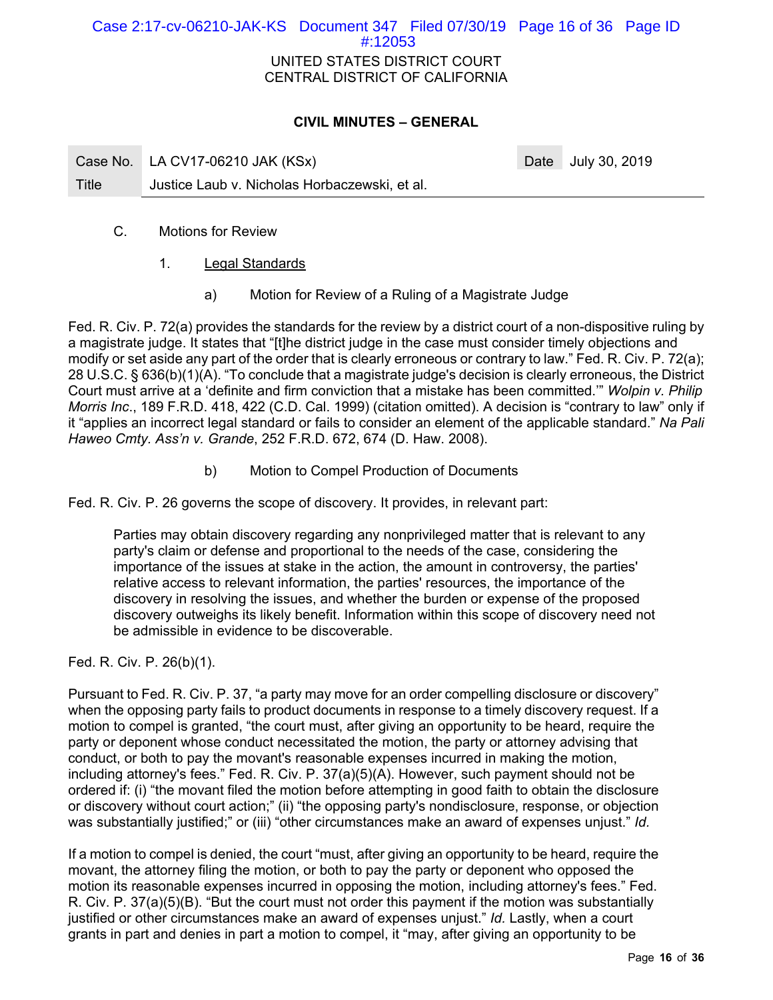# UNITED STATES DISTRICT COURT CENTRAL DISTRICT OF CALIFORNIA Case 2:17-cv-06210-JAK-KS Document 347 Filed 07/30/19 Page 16 of 36 Page ID #:12053

# **CIVIL MINUTES – GENERAL**

|       | Case No. LA CV17-06210 JAK (KSx)              | Date July 30, 2019 |
|-------|-----------------------------------------------|--------------------|
| Title | Justice Laub v. Nicholas Horbaczewski, et al. |                    |

- C. Motions for Review
	- 1. Legal Standards
		- a) Motion for Review of a Ruling of a Magistrate Judge

Fed. R. Civ. P. 72(a) provides the standards for the review by a district court of a non-dispositive ruling by a magistrate judge. It states that "[t]he district judge in the case must consider timely objections and modify or set aside any part of the order that is clearly erroneous or contrary to law." Fed. R. Civ. P. 72(a); 28 U.S.C. § 636(b)(1)(A). "To conclude that a magistrate judge's decision is clearly erroneous, the District Court must arrive at a 'definite and firm conviction that a mistake has been committed.'" *Wolpin v. Philip Morris Inc*., 189 F.R.D. 418, 422 (C.D. Cal. 1999) (citation omitted). A decision is "contrary to law" only if it "applies an incorrect legal standard or fails to consider an element of the applicable standard." *Na Pali Haweo Cmty. Ass'n v. Grande*, 252 F.R.D. 672, 674 (D. Haw. 2008).

b) Motion to Compel Production of Documents

Fed. R. Civ. P. 26 governs the scope of discovery. It provides, in relevant part:

Parties may obtain discovery regarding any nonprivileged matter that is relevant to any party's claim or defense and proportional to the needs of the case, considering the importance of the issues at stake in the action, the amount in controversy, the parties' relative access to relevant information, the parties' resources, the importance of the discovery in resolving the issues, and whether the burden or expense of the proposed discovery outweighs its likely benefit. Information within this scope of discovery need not be admissible in evidence to be discoverable.

Fed. R. Civ. P. 26(b)(1).

Pursuant to Fed. R. Civ. P. 37, "a party may move for an order compelling disclosure or discovery" when the opposing party fails to product documents in response to a timely discovery request. If a motion to compel is granted, "the court must, after giving an opportunity to be heard, require the party or deponent whose conduct necessitated the motion, the party or attorney advising that conduct, or both to pay the movant's reasonable expenses incurred in making the motion, including attorney's fees." Fed. R. Civ. P. 37(a)(5)(A). However, such payment should not be ordered if: (i) "the movant filed the motion before attempting in good faith to obtain the disclosure or discovery without court action;" (ii) "the opposing party's nondisclosure, response, or objection was substantially justified;" or (iii) "other circumstances make an award of expenses unjust." *Id.* 

If a motion to compel is denied, the court "must, after giving an opportunity to be heard, require the movant, the attorney filing the motion, or both to pay the party or deponent who opposed the motion its reasonable expenses incurred in opposing the motion, including attorney's fees." Fed. R. Civ. P. 37(a)(5)(B). "But the court must not order this payment if the motion was substantially justified or other circumstances make an award of expenses unjust." *Id.* Lastly, when a court grants in part and denies in part a motion to compel, it "may, after giving an opportunity to be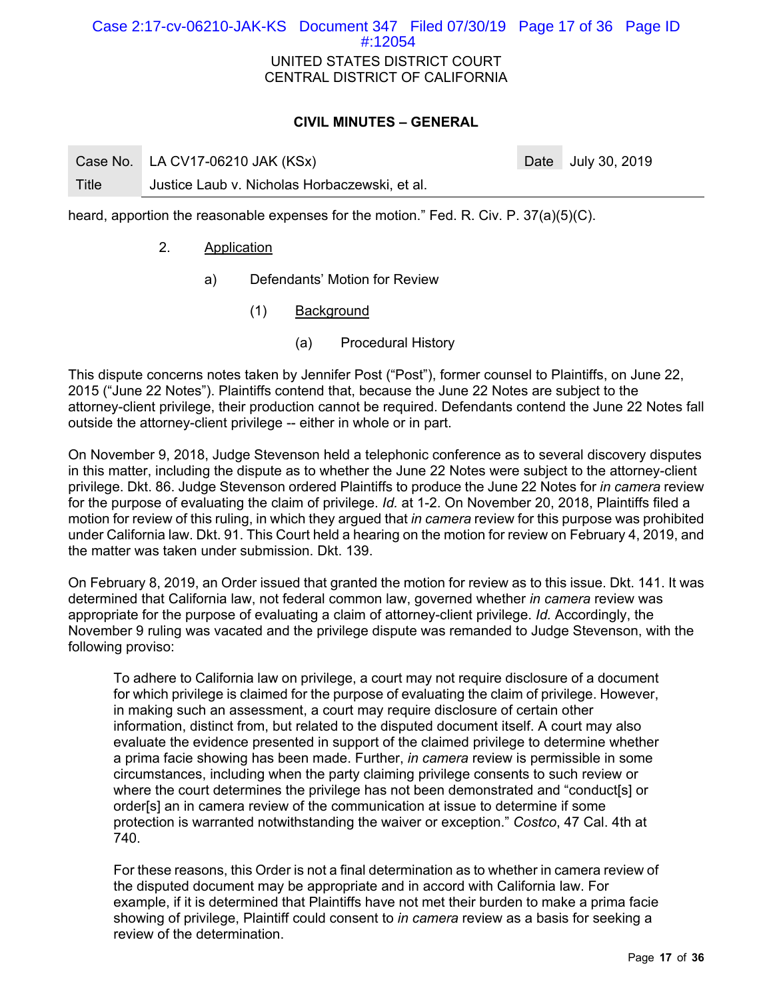# UNITED STATES DISTRICT COURT CENTRAL DISTRICT OF CALIFORNIA Case 2:17-cv-06210-JAK-KS Document 347 Filed 07/30/19 Page 17 of 36 Page ID #:12054

## **CIVIL MINUTES – GENERAL**

Case No. LA CV17-06210 JAK (KSx) Case No. 2019 Title Justice Laub v. Nicholas Horbaczewski, et al.

heard, apportion the reasonable expenses for the motion." Fed. R. Civ. P. 37(a)(5)(C).

- 2. Application
	- a) Defendants' Motion for Review
		- (1) Background
			- (a) Procedural History

This dispute concerns notes taken by Jennifer Post ("Post"), former counsel to Plaintiffs, on June 22, 2015 ("June 22 Notes"). Plaintiffs contend that, because the June 22 Notes are subject to the attorney-client privilege, their production cannot be required. Defendants contend the June 22 Notes fall outside the attorney-client privilege -- either in whole or in part.

On November 9, 2018, Judge Stevenson held a telephonic conference as to several discovery disputes in this matter, including the dispute as to whether the June 22 Notes were subject to the attorney-client privilege. Dkt. 86. Judge Stevenson ordered Plaintiffs to produce the June 22 Notes for *in camera* review for the purpose of evaluating the claim of privilege. *Id.* at 1-2. On November 20, 2018, Plaintiffs filed a motion for review of this ruling, in which they argued that *in camera* review for this purpose was prohibited under California law. Dkt. 91. This Court held a hearing on the motion for review on February 4, 2019, and the matter was taken under submission. Dkt. 139.

On February 8, 2019, an Order issued that granted the motion for review as to this issue. Dkt. 141. It was determined that California law, not federal common law, governed whether *in camera* review was appropriate for the purpose of evaluating a claim of attorney-client privilege. *Id.* Accordingly, the November 9 ruling was vacated and the privilege dispute was remanded to Judge Stevenson, with the following proviso:

To adhere to California law on privilege, a court may not require disclosure of a document for which privilege is claimed for the purpose of evaluating the claim of privilege. However, in making such an assessment, a court may require disclosure of certain other information, distinct from, but related to the disputed document itself. A court may also evaluate the evidence presented in support of the claimed privilege to determine whether a prima facie showing has been made. Further, *in camera* review is permissible in some circumstances, including when the party claiming privilege consents to such review or where the court determines the privilege has not been demonstrated and "conduct[s] or order[s] an in camera review of the communication at issue to determine if some protection is warranted notwithstanding the waiver or exception." *Costco*, 47 Cal. 4th at 740.

For these reasons, this Order is not a final determination as to whether in camera review of the disputed document may be appropriate and in accord with California law. For example, if it is determined that Plaintiffs have not met their burden to make a prima facie showing of privilege, Plaintiff could consent to *in camera* review as a basis for seeking a review of the determination.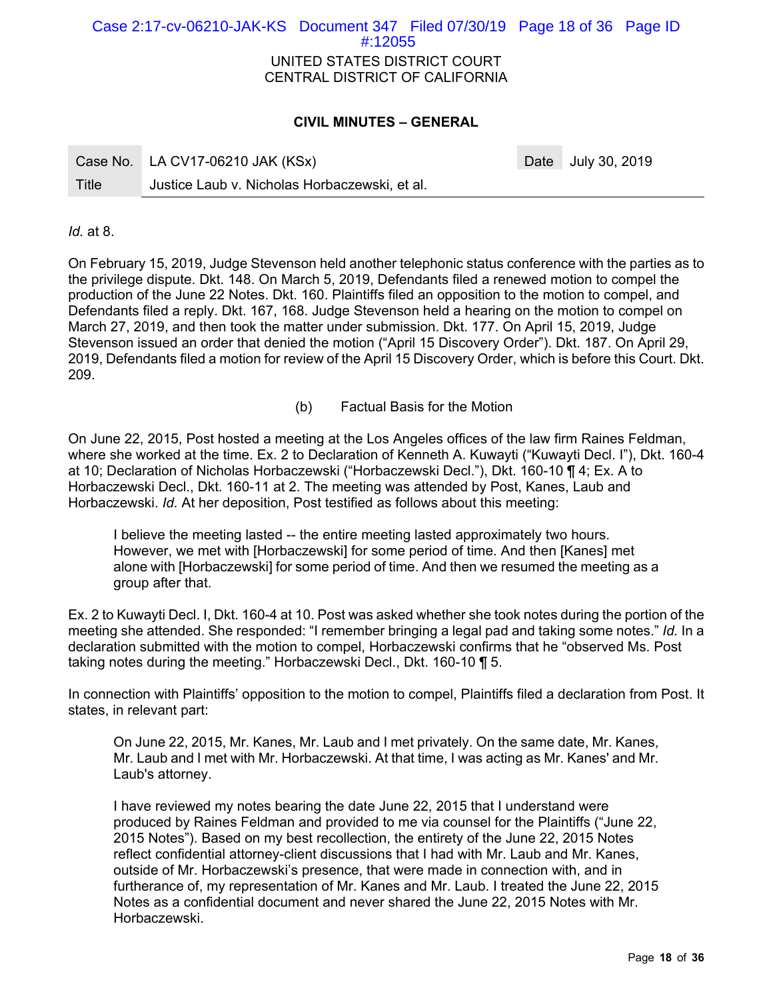# UNITED STATES DISTRICT COURT CENTRAL DISTRICT OF CALIFORNIA Case 2:17-cv-06210-JAK-KS Document 347 Filed 07/30/19 Page 18 of 36 Page ID #:12055

# **CIVIL MINUTES – GENERAL**

|       | Case No. LA CV17-06210 JAK (KSx)              | Date July 30, 2019 |
|-------|-----------------------------------------------|--------------------|
| Title | Justice Laub v. Nicholas Horbaczewski, et al. |                    |

*Id.* at 8.

On February 15, 2019, Judge Stevenson held another telephonic status conference with the parties as to the privilege dispute. Dkt. 148. On March 5, 2019, Defendants filed a renewed motion to compel the production of the June 22 Notes. Dkt. 160. Plaintiffs filed an opposition to the motion to compel, and Defendants filed a reply. Dkt. 167, 168. Judge Stevenson held a hearing on the motion to compel on March 27, 2019, and then took the matter under submission. Dkt. 177. On April 15, 2019, Judge Stevenson issued an order that denied the motion ("April 15 Discovery Order"). Dkt. 187. On April 29, 2019, Defendants filed a motion for review of the April 15 Discovery Order, which is before this Court. Dkt. 209.

(b) Factual Basis for the Motion

On June 22, 2015, Post hosted a meeting at the Los Angeles offices of the law firm Raines Feldman, where she worked at the time. Ex. 2 to Declaration of Kenneth A. Kuwayti ("Kuwayti Decl. I"), Dkt. 160-4 at 10; Declaration of Nicholas Horbaczewski ("Horbaczewski Decl."), Dkt. 160-10 ¶ 4; Ex. A to Horbaczewski Decl., Dkt. 160-11 at 2. The meeting was attended by Post, Kanes, Laub and Horbaczewski. *Id.* At her deposition, Post testified as follows about this meeting:

I believe the meeting lasted -- the entire meeting lasted approximately two hours. However, we met with [Horbaczewski] for some period of time. And then [Kanes] met alone with [Horbaczewski] for some period of time. And then we resumed the meeting as a group after that.

Ex. 2 to Kuwayti Decl. I, Dkt. 160-4 at 10. Post was asked whether she took notes during the portion of the meeting she attended. She responded: "I remember bringing a legal pad and taking some notes." *Id.* In a declaration submitted with the motion to compel, Horbaczewski confirms that he "observed Ms. Post taking notes during the meeting." Horbaczewski Decl., Dkt. 160-10 ¶ 5.

In connection with Plaintiffs' opposition to the motion to compel, Plaintiffs filed a declaration from Post. It states, in relevant part:

On June 22, 2015, Mr. Kanes, Mr. Laub and I met privately. On the same date, Mr. Kanes, Mr. Laub and I met with Mr. Horbaczewski. At that time, I was acting as Mr. Kanes' and Mr. Laub's attorney.

I have reviewed my notes bearing the date June 22, 2015 that I understand were produced by Raines Feldman and provided to me via counsel for the Plaintiffs ("June 22, 2015 Notes"). Based on my best recollection, the entirety of the June 22, 2015 Notes reflect confidential attorney-client discussions that I had with Mr. Laub and Mr. Kanes, outside of Mr. Horbaczewski's presence, that were made in connection with, and in furtherance of, my representation of Mr. Kanes and Mr. Laub. I treated the June 22, 2015 Notes as a confidential document and never shared the June 22, 2015 Notes with Mr. Horbaczewski.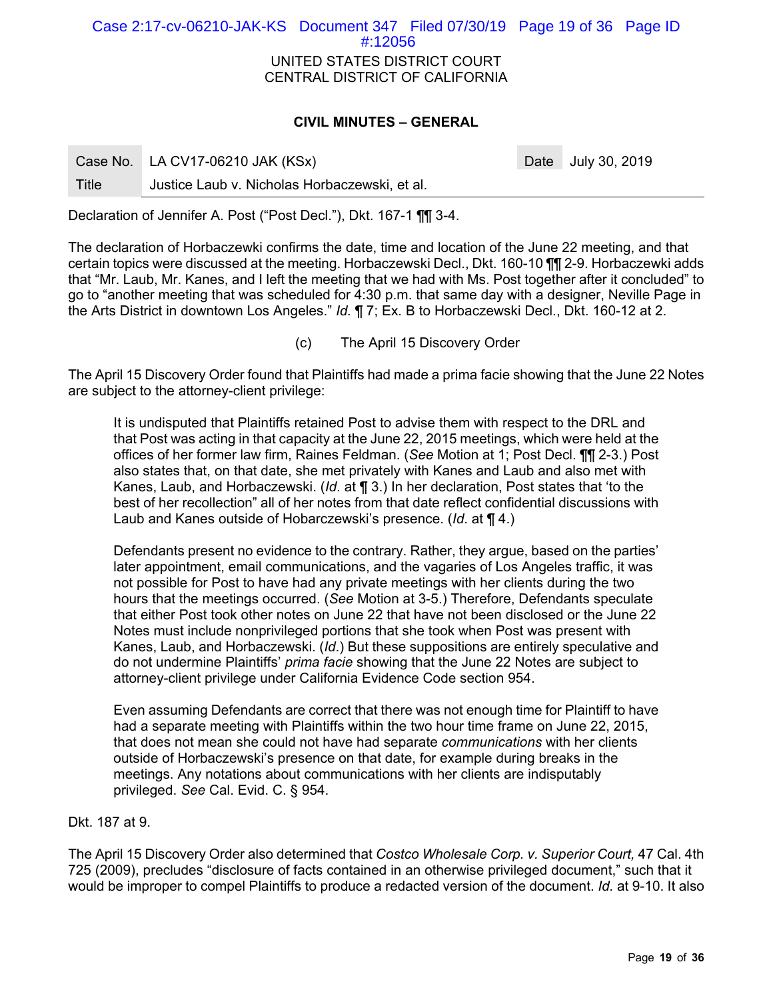UNITED STATES DISTRICT COURT CENTRAL DISTRICT OF CALIFORNIA Case 2:17-cv-06210-JAK-KS Document 347 Filed 07/30/19 Page 19 of 36 Page ID #:12056

### **CIVIL MINUTES – GENERAL**

|       | Case No. LA CV17-06210 JAK (KSx)              | Date July 30, 2019 |
|-------|-----------------------------------------------|--------------------|
| Title | Justice Laub v. Nicholas Horbaczewski, et al. |                    |

Declaration of Jennifer A. Post ("Post Decl."), Dkt. 167-1 ¶¶ 3-4.

The declaration of Horbaczewki confirms the date, time and location of the June 22 meeting, and that certain topics were discussed at the meeting. Horbaczewski Decl., Dkt. 160-10 ¶¶ 2-9. Horbaczewki adds that "Mr. Laub, Mr. Kanes, and I left the meeting that we had with Ms. Post together after it concluded" to go to "another meeting that was scheduled for 4:30 p.m. that same day with a designer, Neville Page in the Arts District in downtown Los Angeles." *Id.* ¶ 7; Ex. B to Horbaczewski Decl., Dkt. 160-12 at 2.

(c) The April 15 Discovery Order

The April 15 Discovery Order found that Plaintiffs had made a prima facie showing that the June 22 Notes are subject to the attorney-client privilege:

It is undisputed that Plaintiffs retained Post to advise them with respect to the DRL and that Post was acting in that capacity at the June 22, 2015 meetings, which were held at the offices of her former law firm, Raines Feldman. (*See* Motion at 1; Post Decl. ¶¶ 2-3.) Post also states that, on that date, she met privately with Kanes and Laub and also met with Kanes, Laub, and Horbaczewski. (*Id*. at ¶ 3.) In her declaration, Post states that 'to the best of her recollection" all of her notes from that date reflect confidential discussions with Laub and Kanes outside of Hobarczewski's presence. (*Id*. at ¶ 4.)

Defendants present no evidence to the contrary. Rather, they argue, based on the parties' later appointment, email communications, and the vagaries of Los Angeles traffic, it was not possible for Post to have had any private meetings with her clients during the two hours that the meetings occurred. (*See* Motion at 3-5.) Therefore, Defendants speculate that either Post took other notes on June 22 that have not been disclosed or the June 22 Notes must include nonprivileged portions that she took when Post was present with Kanes, Laub, and Horbaczewski. (*Id*.) But these suppositions are entirely speculative and do not undermine Plaintiffs' *prima facie* showing that the June 22 Notes are subject to attorney-client privilege under California Evidence Code section 954.

Even assuming Defendants are correct that there was not enough time for Plaintiff to have had a separate meeting with Plaintiffs within the two hour time frame on June 22, 2015, that does not mean she could not have had separate *communications* with her clients outside of Horbaczewski's presence on that date, for example during breaks in the meetings. Any notations about communications with her clients are indisputably privileged. *See* Cal. Evid. C. § 954.

# Dkt. 187 at 9.

The April 15 Discovery Order also determined that *Costco Wholesale Corp. v. Superior Court,* 47 Cal. 4th 725 (2009), precludes "disclosure of facts contained in an otherwise privileged document," such that it would be improper to compel Plaintiffs to produce a redacted version of the document. *Id.* at 9-10. It also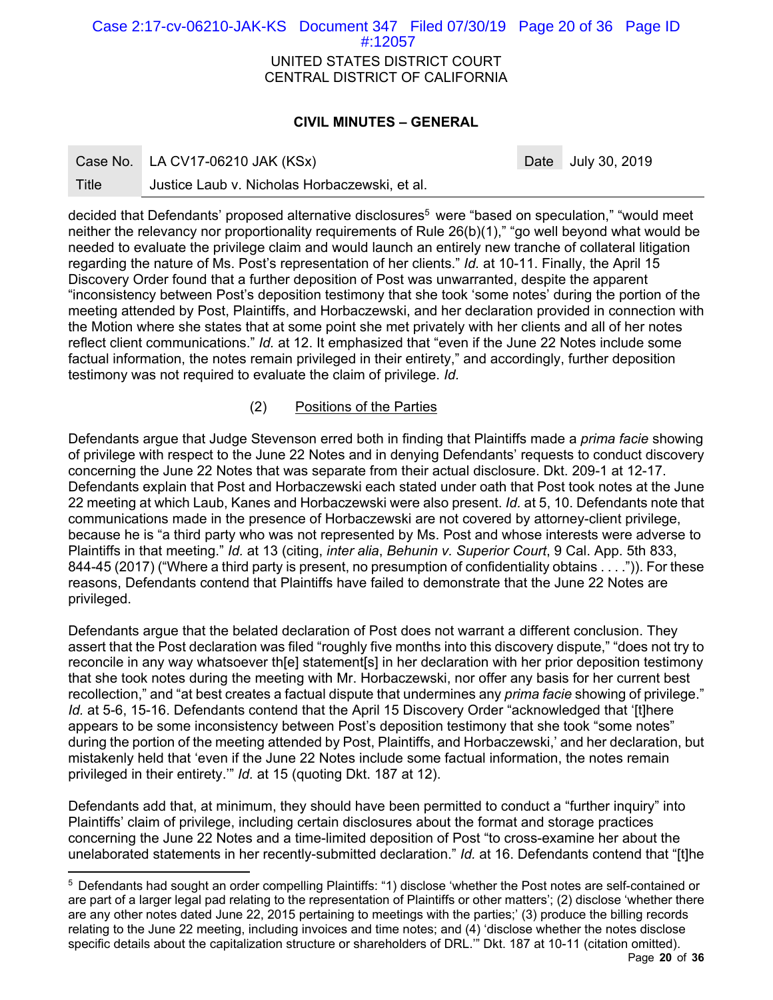UNITED STATES DISTRICT COURT CENTRAL DISTRICT OF CALIFORNIA Case 2:17-cv-06210-JAK-KS Document 347 Filed 07/30/19 Page 20 of 36 Page ID #:12057

# **CIVIL MINUTES – GENERAL**

Case No. LA CV17-06210 JAK (KSx) Case No. 2019

-

Title Justice Laub v. Nicholas Horbaczewski, et al.

decided that Defendants' proposed alternative disclosures<sup>5</sup> were "based on speculation," "would meet neither the relevancy nor proportionality requirements of Rule 26(b)(1)," "go well beyond what would be needed to evaluate the privilege claim and would launch an entirely new tranche of collateral litigation regarding the nature of Ms. Post's representation of her clients." *Id.* at 10-11. Finally, the April 15 Discovery Order found that a further deposition of Post was unwarranted, despite the apparent "inconsistency between Post's deposition testimony that she took 'some notes' during the portion of the meeting attended by Post, Plaintiffs, and Horbaczewski, and her declaration provided in connection with the Motion where she states that at some point she met privately with her clients and all of her notes reflect client communications." *Id.* at 12. It emphasized that "even if the June 22 Notes include some factual information, the notes remain privileged in their entirety," and accordingly, further deposition testimony was not required to evaluate the claim of privilege. *Id.* 

# (2) Positions of the Parties

Defendants argue that Judge Stevenson erred both in finding that Plaintiffs made a *prima facie* showing of privilege with respect to the June 22 Notes and in denying Defendants' requests to conduct discovery concerning the June 22 Notes that was separate from their actual disclosure. Dkt. 209-1 at 12-17. Defendants explain that Post and Horbaczewski each stated under oath that Post took notes at the June 22 meeting at which Laub, Kanes and Horbaczewski were also present. *Id.* at 5, 10. Defendants note that communications made in the presence of Horbaczewski are not covered by attorney-client privilege, because he is "a third party who was not represented by Ms. Post and whose interests were adverse to Plaintiffs in that meeting." *Id.* at 13 (citing, *inter alia*, *Behunin v. Superior Court*, 9 Cal. App. 5th 833, 844-45 (2017) ("Where a third party is present, no presumption of confidentiality obtains . . . .")). For these reasons, Defendants contend that Plaintiffs have failed to demonstrate that the June 22 Notes are privileged.

Defendants argue that the belated declaration of Post does not warrant a different conclusion. They assert that the Post declaration was filed "roughly five months into this discovery dispute," "does not try to reconcile in any way whatsoever th[e] statement[s] in her declaration with her prior deposition testimony that she took notes during the meeting with Mr. Horbaczewski, nor offer any basis for her current best recollection," and "at best creates a factual dispute that undermines any *prima facie* showing of privilege." *Id.* at 5-6, 15-16. Defendants contend that the April 15 Discovery Order "acknowledged that '[t]here appears to be some inconsistency between Post's deposition testimony that she took "some notes" during the portion of the meeting attended by Post, Plaintiffs, and Horbaczewski,' and her declaration, but mistakenly held that 'even if the June 22 Notes include some factual information, the notes remain privileged in their entirety.'" *Id.* at 15 (quoting Dkt. 187 at 12).

Defendants add that, at minimum, they should have been permitted to conduct a "further inquiry" into Plaintiffs' claim of privilege, including certain disclosures about the format and storage practices concerning the June 22 Notes and a time-limited deposition of Post "to cross-examine her about the unelaborated statements in her recently-submitted declaration." *Id.* at 16. Defendants contend that "[t]he

<sup>5</sup> Defendants had sought an order compelling Plaintiffs: "1) disclose 'whether the Post notes are self-contained or are part of a larger legal pad relating to the representation of Plaintiffs or other matters'; (2) disclose 'whether there are any other notes dated June 22, 2015 pertaining to meetings with the parties;' (3) produce the billing records relating to the June 22 meeting, including invoices and time notes; and (4) 'disclose whether the notes disclose specific details about the capitalization structure or shareholders of DRL.'" Dkt. 187 at 10-11 (citation omitted).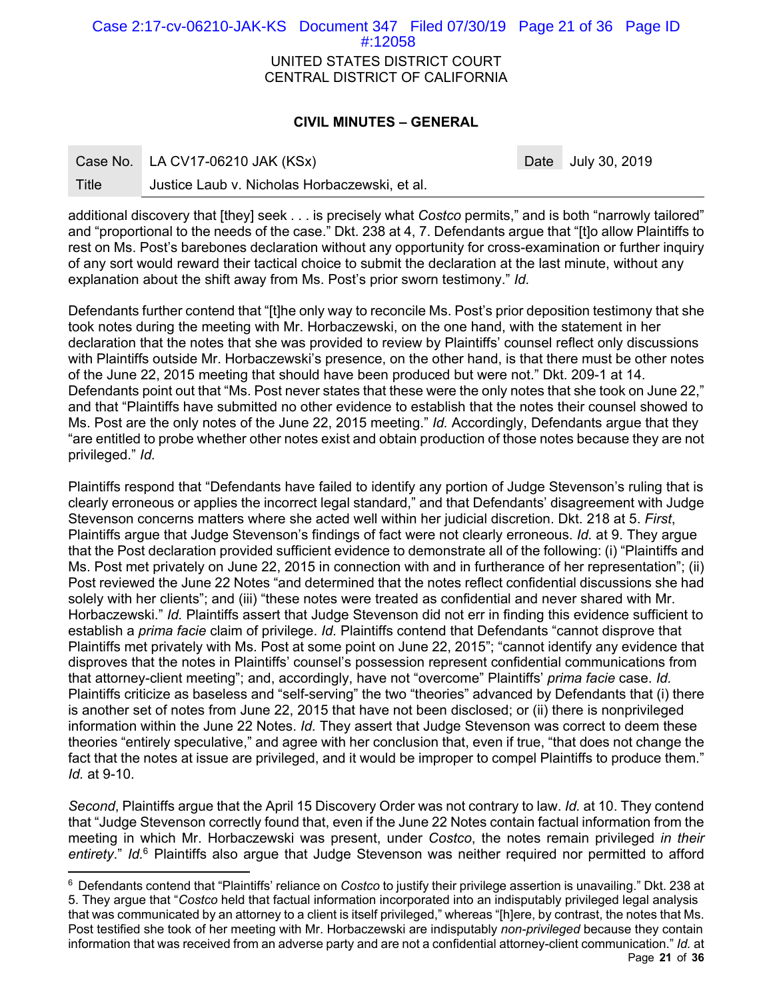UNITED STATES DISTRICT COURT CENTRAL DISTRICT OF CALIFORNIA Case 2:17-cv-06210-JAK-KS Document 347 Filed 07/30/19 Page 21 of 36 Page ID #:12058

# **CIVIL MINUTES – GENERAL**

-

Date July 30, 2019

Title Justice Laub v. Nicholas Horbaczewski, et al.

additional discovery that [they] seek . . . is precisely what *Costco* permits," and is both "narrowly tailored" and "proportional to the needs of the case." Dkt. 238 at 4, 7. Defendants argue that "[t]o allow Plaintiffs to rest on Ms. Post's barebones declaration without any opportunity for cross-examination or further inquiry of any sort would reward their tactical choice to submit the declaration at the last minute, without any explanation about the shift away from Ms. Post's prior sworn testimony." *Id.*

Defendants further contend that "[t]he only way to reconcile Ms. Post's prior deposition testimony that she took notes during the meeting with Mr. Horbaczewski, on the one hand, with the statement in her declaration that the notes that she was provided to review by Plaintiffs' counsel reflect only discussions with Plaintiffs outside Mr. Horbaczewski's presence, on the other hand, is that there must be other notes of the June 22, 2015 meeting that should have been produced but were not." Dkt. 209-1 at 14. Defendants point out that "Ms. Post never states that these were the only notes that she took on June 22," and that "Plaintiffs have submitted no other evidence to establish that the notes their counsel showed to Ms. Post are the only notes of the June 22, 2015 meeting." *Id.* Accordingly, Defendants argue that they "are entitled to probe whether other notes exist and obtain production of those notes because they are not privileged." *Id.* 

Plaintiffs respond that "Defendants have failed to identify any portion of Judge Stevenson's ruling that is clearly erroneous or applies the incorrect legal standard," and that Defendants' disagreement with Judge Stevenson concerns matters where she acted well within her judicial discretion. Dkt. 218 at 5. *First*, Plaintiffs argue that Judge Stevenson's findings of fact were not clearly erroneous. *Id.* at 9. They argue that the Post declaration provided sufficient evidence to demonstrate all of the following: (i) "Plaintiffs and Ms. Post met privately on June 22, 2015 in connection with and in furtherance of her representation"; (ii) Post reviewed the June 22 Notes "and determined that the notes reflect confidential discussions she had solely with her clients"; and (iii) "these notes were treated as confidential and never shared with Mr. Horbaczewski." *Id.* Plaintiffs assert that Judge Stevenson did not err in finding this evidence sufficient to establish a *prima facie* claim of privilege. *Id.* Plaintiffs contend that Defendants "cannot disprove that Plaintiffs met privately with Ms. Post at some point on June 22, 2015"; "cannot identify any evidence that disproves that the notes in Plaintiffs' counsel's possession represent confidential communications from that attorney-client meeting"; and, accordingly, have not "overcome" Plaintiffs' *prima facie* case. *Id.*  Plaintiffs criticize as baseless and "self-serving" the two "theories" advanced by Defendants that (i) there is another set of notes from June 22, 2015 that have not been disclosed; or (ii) there is nonprivileged information within the June 22 Notes. *Id.* They assert that Judge Stevenson was correct to deem these theories "entirely speculative," and agree with her conclusion that, even if true, "that does not change the fact that the notes at issue are privileged, and it would be improper to compel Plaintiffs to produce them." *Id.* at 9-10.

*Second*, Plaintiffs argue that the April 15 Discovery Order was not contrary to law. *Id.* at 10. They contend that "Judge Stevenson correctly found that, even if the June 22 Notes contain factual information from the meeting in which Mr. Horbaczewski was present, under *Costco*, the notes remain privileged *in their entirety*." *Id.*6 Plaintiffs also argue that Judge Stevenson was neither required nor permitted to afford

Page **21** of **36** 6 Defendants contend that "Plaintiffs' reliance on *Costco* to justify their privilege assertion is unavailing." Dkt. 238 at 5. They argue that "*Costco* held that factual information incorporated into an indisputably privileged legal analysis that was communicated by an attorney to a client is itself privileged," whereas "[h]ere, by contrast, the notes that Ms. Post testified she took of her meeting with Mr. Horbaczewski are indisputably *non-privileged* because they contain information that was received from an adverse party and are not a confidential attorney-client communication." *Id.* at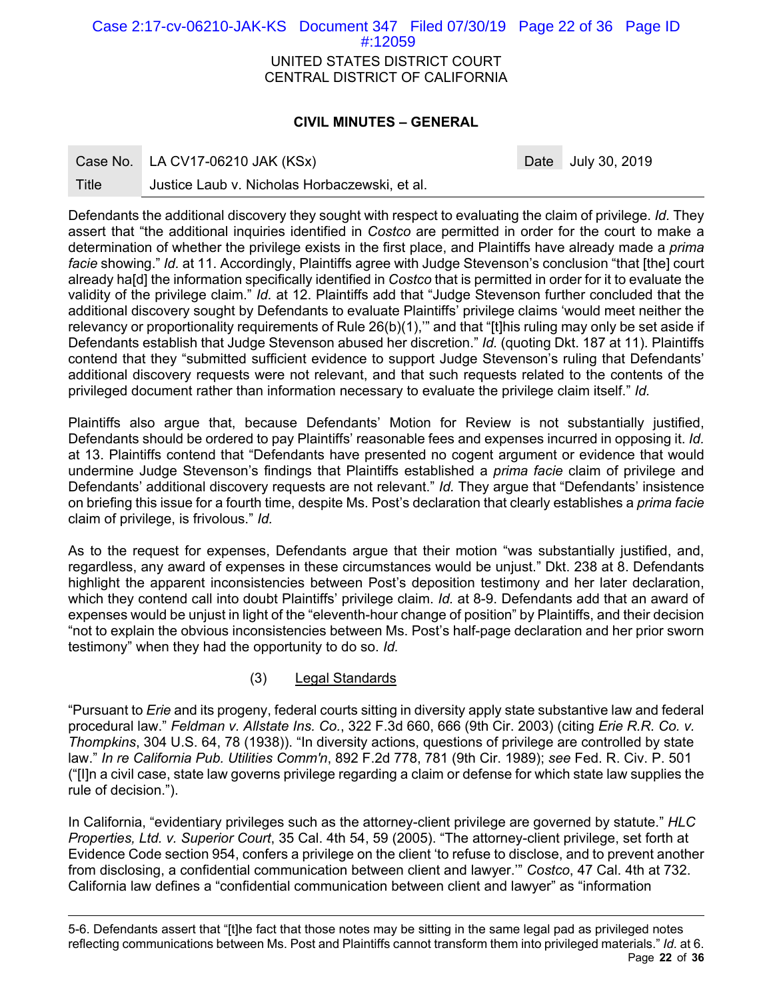UNITED STATES DISTRICT COURT CENTRAL DISTRICT OF CALIFORNIA Case 2:17-cv-06210-JAK-KS Document 347 Filed 07/30/19 Page 22 of 36 Page ID #:12059

# **CIVIL MINUTES – GENERAL**

Case No. LA CV17-06210 JAK (KSx) Case No. 2019

Title Justice Laub v. Nicholas Horbaczewski, et al.

Defendants the additional discovery they sought with respect to evaluating the claim of privilege. *Id.* They assert that "the additional inquiries identified in *Costco* are permitted in order for the court to make a determination of whether the privilege exists in the first place, and Plaintiffs have already made a *prima facie* showing." *Id.* at 11. Accordingly, Plaintiffs agree with Judge Stevenson's conclusion "that [the] court already ha[d] the information specifically identified in *Costco* that is permitted in order for it to evaluate the validity of the privilege claim." *Id.* at 12. Plaintiffs add that "Judge Stevenson further concluded that the additional discovery sought by Defendants to evaluate Plaintiffs' privilege claims 'would meet neither the relevancy or proportionality requirements of Rule 26(b)(1),'" and that "[t]his ruling may only be set aside if Defendants establish that Judge Stevenson abused her discretion." *Id.* (quoting Dkt. 187 at 11). Plaintiffs contend that they "submitted sufficient evidence to support Judge Stevenson's ruling that Defendants' additional discovery requests were not relevant, and that such requests related to the contents of the privileged document rather than information necessary to evaluate the privilege claim itself." *Id.* 

Plaintiffs also argue that, because Defendants' Motion for Review is not substantially justified, Defendants should be ordered to pay Plaintiffs' reasonable fees and expenses incurred in opposing it. *Id.*  at 13. Plaintiffs contend that "Defendants have presented no cogent argument or evidence that would undermine Judge Stevenson's findings that Plaintiffs established a *prima facie* claim of privilege and Defendants' additional discovery requests are not relevant." *Id.* They argue that "Defendants' insistence on briefing this issue for a fourth time, despite Ms. Post's declaration that clearly establishes a *prima facie* claim of privilege, is frivolous." *Id.* 

As to the request for expenses, Defendants argue that their motion "was substantially justified, and, regardless, any award of expenses in these circumstances would be unjust." Dkt. 238 at 8. Defendants highlight the apparent inconsistencies between Post's deposition testimony and her later declaration, which they contend call into doubt Plaintiffs' privilege claim. *Id.* at 8-9. Defendants add that an award of expenses would be unjust in light of the "eleventh-hour change of position" by Plaintiffs, and their decision "not to explain the obvious inconsistencies between Ms. Post's half-page declaration and her prior sworn testimony" when they had the opportunity to do so. *Id.* 

# (3) Legal Standards

"Pursuant to *Erie* and its progeny, federal courts sitting in diversity apply state substantive law and federal procedural law." *Feldman v. Allstate Ins. Co.*, 322 F.3d 660, 666 (9th Cir. 2003) (citing *Erie R.R. Co. v. Thompkins*, 304 U.S. 64, 78 (1938)). "In diversity actions, questions of privilege are controlled by state law." *In re California Pub. Utilities Comm'n*, 892 F.2d 778, 781 (9th Cir. 1989); *see* Fed. R. Civ. P. 501 ("[I]n a civil case, state law governs privilege regarding a claim or defense for which state law supplies the rule of decision.").

In California, "evidentiary privileges such as the attorney-client privilege are governed by statute." *HLC Properties, Ltd. v. Superior Court*, 35 Cal. 4th 54, 59 (2005). "The attorney-client privilege, set forth at Evidence Code section 954, confers a privilege on the client 'to refuse to disclose, and to prevent another from disclosing, a confidential communication between client and lawyer.'" *Costco*, 47 Cal. 4th at 732. California law defines a "confidential communication between client and lawyer" as "information

Page **22** of **36** -5-6. Defendants assert that "[t]he fact that those notes may be sitting in the same legal pad as privileged notes reflecting communications between Ms. Post and Plaintiffs cannot transform them into privileged materials." *Id.* at 6.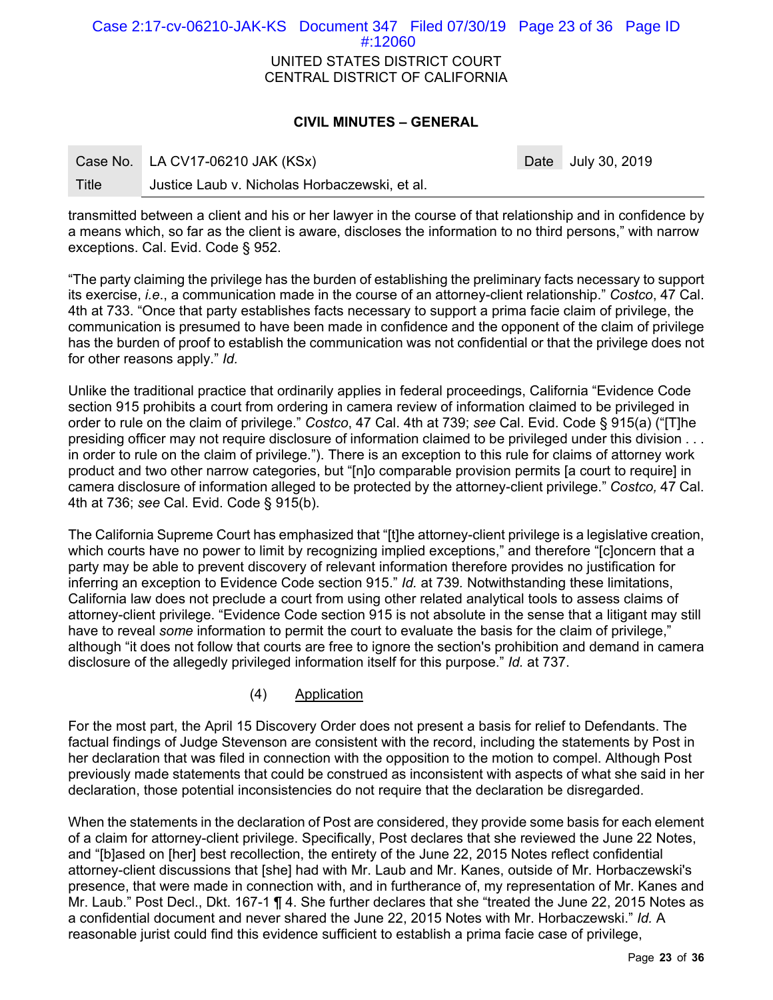| Case 2:17-cv-06210-JAK-KS Document 347 Filed 07/30/19 Page 23 of 36 Page ID | $\#12060$                                                      |  |  |
|-----------------------------------------------------------------------------|----------------------------------------------------------------|--|--|
|                                                                             | UNITED STATES DISTRICT COURT<br>CENTRAL DISTRICT OF CALIFORNIA |  |  |

## **CIVIL MINUTES – GENERAL**

|       | Case No. LA CV17-06210 JAK (KSx)              | Date July 30, 2019 |
|-------|-----------------------------------------------|--------------------|
| Title | Justice Laub v. Nicholas Horbaczewski, et al. |                    |

transmitted between a client and his or her lawyer in the course of that relationship and in confidence by a means which, so far as the client is aware, discloses the information to no third persons," with narrow exceptions. Cal. Evid. Code § 952.

"The party claiming the privilege has the burden of establishing the preliminary facts necessary to support its exercise, *i.e*., a communication made in the course of an attorney-client relationship." *Costco*, 47 Cal. 4th at 733. "Once that party establishes facts necessary to support a prima facie claim of privilege, the communication is presumed to have been made in confidence and the opponent of the claim of privilege has the burden of proof to establish the communication was not confidential or that the privilege does not for other reasons apply." *Id.*

Unlike the traditional practice that ordinarily applies in federal proceedings, California "Evidence Code section 915 prohibits a court from ordering in camera review of information claimed to be privileged in order to rule on the claim of privilege." *Costco*, 47 Cal. 4th at 739; *see* Cal. Evid. Code § 915(a) ("[T]he presiding officer may not require disclosure of information claimed to be privileged under this division . . . in order to rule on the claim of privilege."). There is an exception to this rule for claims of attorney work product and two other narrow categories, but "[n]o comparable provision permits [a court to require] in camera disclosure of information alleged to be protected by the attorney-client privilege." *Costco,* 47 Cal. 4th at 736; *see* Cal. Evid. Code § 915(b).

The California Supreme Court has emphasized that "[t]he attorney-client privilege is a legislative creation, which courts have no power to limit by recognizing implied exceptions," and therefore "[c]oncern that a party may be able to prevent discovery of relevant information therefore provides no justification for inferring an exception to Evidence Code section 915." *Id.* at 739*.* Notwithstanding these limitations, California law does not preclude a court from using other related analytical tools to assess claims of attorney-client privilege. "Evidence Code section 915 is not absolute in the sense that a litigant may still have to reveal *some* information to permit the court to evaluate the basis for the claim of privilege," although "it does not follow that courts are free to ignore the section's prohibition and demand in camera disclosure of the allegedly privileged information itself for this purpose." *Id.* at 737.

(4) Application

For the most part, the April 15 Discovery Order does not present a basis for relief to Defendants. The factual findings of Judge Stevenson are consistent with the record, including the statements by Post in her declaration that was filed in connection with the opposition to the motion to compel. Although Post previously made statements that could be construed as inconsistent with aspects of what she said in her declaration, those potential inconsistencies do not require that the declaration be disregarded.

When the statements in the declaration of Post are considered, they provide some basis for each element of a claim for attorney-client privilege. Specifically, Post declares that she reviewed the June 22 Notes, and "[b]ased on [her] best recollection, the entirety of the June 22, 2015 Notes reflect confidential attorney-client discussions that [she] had with Mr. Laub and Mr. Kanes, outside of Mr. Horbaczewski's presence, that were made in connection with, and in furtherance of, my representation of Mr. Kanes and Mr. Laub." Post Decl., Dkt. 167-1 ¶ 4. She further declares that she "treated the June 22, 2015 Notes as a confidential document and never shared the June 22, 2015 Notes with Mr. Horbaczewski." *Id.* A reasonable jurist could find this evidence sufficient to establish a prima facie case of privilege,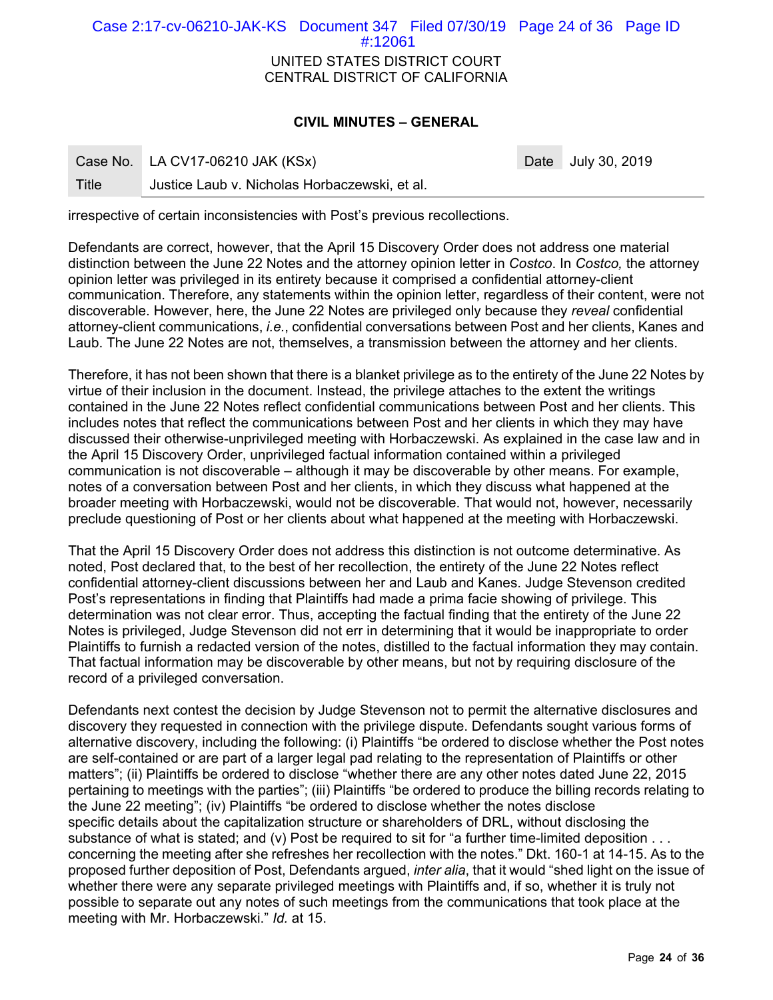| Case 2:17-cv-06210-JAK-KS Document 347 Filed 07/30/19 Page 24 of 36 Page ID | #:12061                        |  |  |
|-----------------------------------------------------------------------------|--------------------------------|--|--|
|                                                                             |                                |  |  |
|                                                                             | UNITED STATES DISTRICT COURT   |  |  |
|                                                                             | CENTRAL DISTRICT OF CALIFORNIA |  |  |

### **CIVIL MINUTES – GENERAL**

|       | Case No. LA CV17-06210 JAK (KSx)              | Date July 30, 2019 |
|-------|-----------------------------------------------|--------------------|
| Title | Justice Laub v. Nicholas Horbaczewski, et al. |                    |

irrespective of certain inconsistencies with Post's previous recollections.

Defendants are correct, however, that the April 15 Discovery Order does not address one material distinction between the June 22 Notes and the attorney opinion letter in *Costco*. In *Costco,* the attorney opinion letter was privileged in its entirety because it comprised a confidential attorney-client communication. Therefore, any statements within the opinion letter, regardless of their content, were not discoverable. However, here, the June 22 Notes are privileged only because they *reveal* confidential attorney-client communications, *i.e.*, confidential conversations between Post and her clients, Kanes and Laub. The June 22 Notes are not, themselves, a transmission between the attorney and her clients.

Therefore, it has not been shown that there is a blanket privilege as to the entirety of the June 22 Notes by virtue of their inclusion in the document. Instead, the privilege attaches to the extent the writings contained in the June 22 Notes reflect confidential communications between Post and her clients. This includes notes that reflect the communications between Post and her clients in which they may have discussed their otherwise-unprivileged meeting with Horbaczewski. As explained in the case law and in the April 15 Discovery Order, unprivileged factual information contained within a privileged communication is not discoverable – although it may be discoverable by other means. For example, notes of a conversation between Post and her clients, in which they discuss what happened at the broader meeting with Horbaczewski, would not be discoverable. That would not, however, necessarily preclude questioning of Post or her clients about what happened at the meeting with Horbaczewski.

That the April 15 Discovery Order does not address this distinction is not outcome determinative. As noted, Post declared that, to the best of her recollection, the entirety of the June 22 Notes reflect confidential attorney-client discussions between her and Laub and Kanes. Judge Stevenson credited Post's representations in finding that Plaintiffs had made a prima facie showing of privilege. This determination was not clear error. Thus, accepting the factual finding that the entirety of the June 22 Notes is privileged, Judge Stevenson did not err in determining that it would be inappropriate to order Plaintiffs to furnish a redacted version of the notes, distilled to the factual information they may contain. That factual information may be discoverable by other means, but not by requiring disclosure of the record of a privileged conversation.

Defendants next contest the decision by Judge Stevenson not to permit the alternative disclosures and discovery they requested in connection with the privilege dispute. Defendants sought various forms of alternative discovery, including the following: (i) Plaintiffs "be ordered to disclose whether the Post notes are self-contained or are part of a larger legal pad relating to the representation of Plaintiffs or other matters"; (ii) Plaintiffs be ordered to disclose "whether there are any other notes dated June 22, 2015 pertaining to meetings with the parties"; (iii) Plaintiffs "be ordered to produce the billing records relating to the June 22 meeting"; (iv) Plaintiffs "be ordered to disclose whether the notes disclose specific details about the capitalization structure or shareholders of DRL, without disclosing the substance of what is stated; and (v) Post be required to sit for "a further time-limited deposition . . . concerning the meeting after she refreshes her recollection with the notes." Dkt. 160-1 at 14-15. As to the proposed further deposition of Post, Defendants argued, *inter alia*, that it would "shed light on the issue of whether there were any separate privileged meetings with Plaintiffs and, if so, whether it is truly not possible to separate out any notes of such meetings from the communications that took place at the meeting with Mr. Horbaczewski." *Id.* at 15.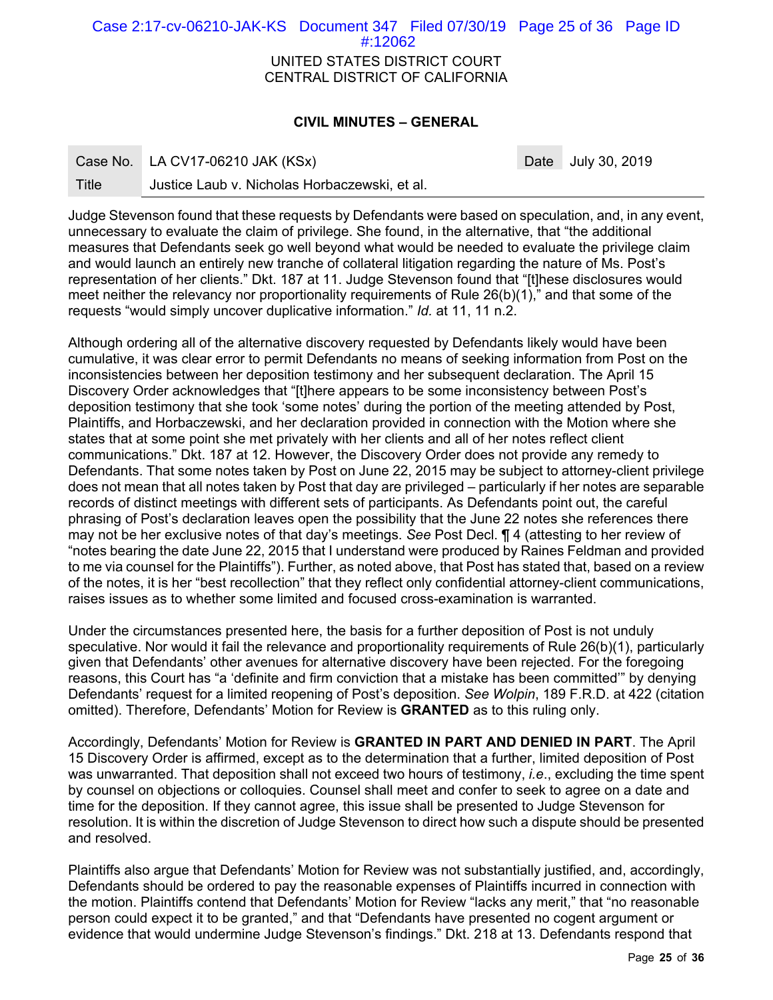UNITED STATES DISTRICT COURT CENTRAL DISTRICT OF CALIFORNIA Case 2:17-cv-06210-JAK-KS Document 347 Filed 07/30/19 Page 25 of 36 Page ID #:12062

## **CIVIL MINUTES – GENERAL**

Case No. LA CV17-06210 JAK (KSx) Case No. 2019

Title Justice Laub v. Nicholas Horbaczewski, et al.

Judge Stevenson found that these requests by Defendants were based on speculation, and, in any event, unnecessary to evaluate the claim of privilege. She found, in the alternative, that "the additional measures that Defendants seek go well beyond what would be needed to evaluate the privilege claim and would launch an entirely new tranche of collateral litigation regarding the nature of Ms. Post's representation of her clients." Dkt. 187 at 11. Judge Stevenson found that "[t]hese disclosures would meet neither the relevancy nor proportionality requirements of Rule 26(b)(1)," and that some of the requests "would simply uncover duplicative information." *Id.* at 11, 11 n.2.

Although ordering all of the alternative discovery requested by Defendants likely would have been cumulative, it was clear error to permit Defendants no means of seeking information from Post on the inconsistencies between her deposition testimony and her subsequent declaration. The April 15 Discovery Order acknowledges that "[t]here appears to be some inconsistency between Post's deposition testimony that she took 'some notes' during the portion of the meeting attended by Post, Plaintiffs, and Horbaczewski, and her declaration provided in connection with the Motion where she states that at some point she met privately with her clients and all of her notes reflect client communications." Dkt. 187 at 12. However, the Discovery Order does not provide any remedy to Defendants. That some notes taken by Post on June 22, 2015 may be subject to attorney-client privilege does not mean that all notes taken by Post that day are privileged – particularly if her notes are separable records of distinct meetings with different sets of participants. As Defendants point out, the careful phrasing of Post's declaration leaves open the possibility that the June 22 notes she references there may not be her exclusive notes of that day's meetings. *See* Post Decl. ¶ 4 (attesting to her review of "notes bearing the date June 22, 2015 that I understand were produced by Raines Feldman and provided to me via counsel for the Plaintiffs"). Further, as noted above, that Post has stated that, based on a review of the notes, it is her "best recollection" that they reflect only confidential attorney-client communications, raises issues as to whether some limited and focused cross-examination is warranted.

Under the circumstances presented here, the basis for a further deposition of Post is not unduly speculative. Nor would it fail the relevance and proportionality requirements of Rule 26(b)(1), particularly given that Defendants' other avenues for alternative discovery have been rejected. For the foregoing reasons, this Court has "a 'definite and firm conviction that a mistake has been committed'" by denying Defendants' request for a limited reopening of Post's deposition. *See Wolpin*, 189 F.R.D. at 422 (citation omitted). Therefore, Defendants' Motion for Review is **GRANTED** as to this ruling only.

Accordingly, Defendants' Motion for Review is **GRANTED IN PART AND DENIED IN PART**. The April 15 Discovery Order is affirmed, except as to the determination that a further, limited deposition of Post was unwarranted. That deposition shall not exceed two hours of testimony, *i.e*., excluding the time spent by counsel on objections or colloquies. Counsel shall meet and confer to seek to agree on a date and time for the deposition. If they cannot agree, this issue shall be presented to Judge Stevenson for resolution. It is within the discretion of Judge Stevenson to direct how such a dispute should be presented and resolved.

Plaintiffs also argue that Defendants' Motion for Review was not substantially justified, and, accordingly, Defendants should be ordered to pay the reasonable expenses of Plaintiffs incurred in connection with the motion. Plaintiffs contend that Defendants' Motion for Review "lacks any merit," that "no reasonable person could expect it to be granted," and that "Defendants have presented no cogent argument or evidence that would undermine Judge Stevenson's findings." Dkt. 218 at 13. Defendants respond that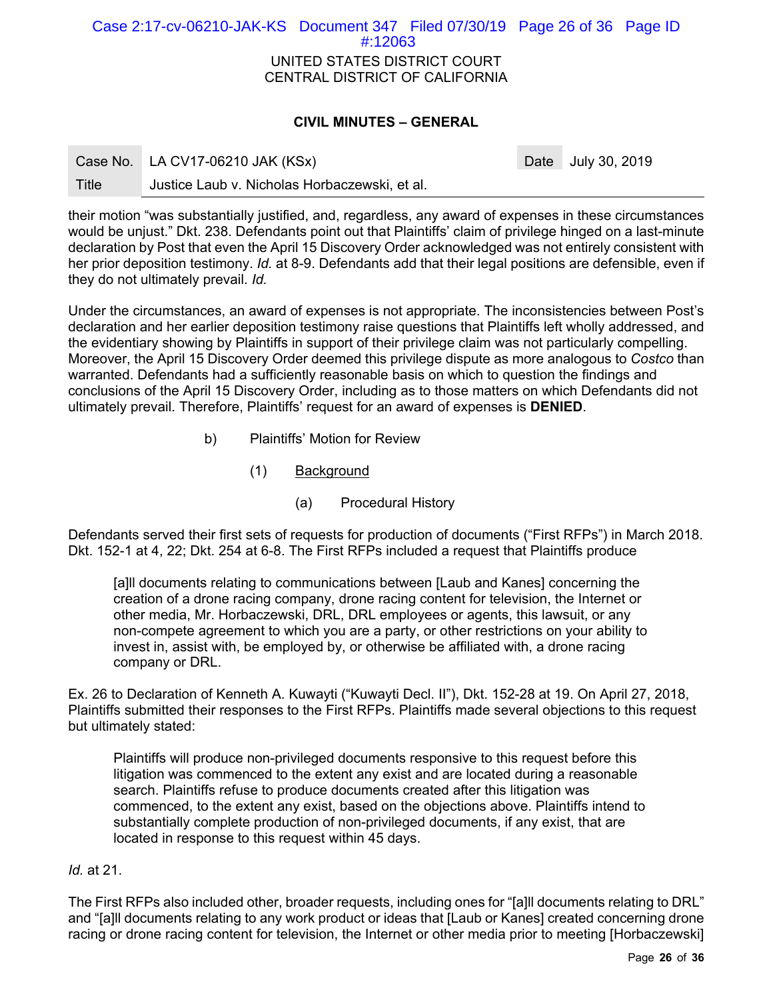| Case 2:17-cv-06210-JAK-KS Document 347 Filed 07/30/19 Page 26 of 36 Page ID |                                |  |  |
|-----------------------------------------------------------------------------|--------------------------------|--|--|
|                                                                             | #:12063                        |  |  |
|                                                                             | UNITED STATES DISTRICT COURT   |  |  |
|                                                                             | CENTRAL DISTRICT OF CALIFORNIA |  |  |
|                                                                             |                                |  |  |

# **CIVIL MINUTES – GENERAL**

| Case No. | LA CV17-06210 JAK (KSx) |
|----------|-------------------------|
|----------|-------------------------|

Date July 30, 2019

Title Justice Laub v. Nicholas Horbaczewski, et al.

their motion "was substantially justified, and, regardless, any award of expenses in these circumstances would be unjust." Dkt. 238. Defendants point out that Plaintiffs' claim of privilege hinged on a last-minute declaration by Post that even the April 15 Discovery Order acknowledged was not entirely consistent with her prior deposition testimony. *Id.* at 8-9. Defendants add that their legal positions are defensible, even if they do not ultimately prevail. *Id.* 

Under the circumstances, an award of expenses is not appropriate. The inconsistencies between Post's declaration and her earlier deposition testimony raise questions that Plaintiffs left wholly addressed, and the evidentiary showing by Plaintiffs in support of their privilege claim was not particularly compelling. Moreover, the April 15 Discovery Order deemed this privilege dispute as more analogous to *Costco* than warranted. Defendants had a sufficiently reasonable basis on which to question the findings and conclusions of the April 15 Discovery Order, including as to those matters on which Defendants did not ultimately prevail. Therefore, Plaintiffs' request for an award of expenses is **DENIED**.

- b) Plaintiffs' Motion for Review
	- (1) Background
		- (a) Procedural History

Defendants served their first sets of requests for production of documents ("First RFPs") in March 2018. Dkt. 152-1 at 4, 22; Dkt. 254 at 6-8. The First RFPs included a request that Plaintiffs produce

[a]ll documents relating to communications between [Laub and Kanes] concerning the creation of a drone racing company, drone racing content for television, the Internet or other media, Mr. Horbaczewski, DRL, DRL employees or agents, this lawsuit, or any non-compete agreement to which you are a party, or other restrictions on your ability to invest in, assist with, be employed by, or otherwise be affiliated with, a drone racing company or DRL.

Ex. 26 to Declaration of Kenneth A. Kuwayti ("Kuwayti Decl. II"), Dkt. 152-28 at 19. On April 27, 2018, Plaintiffs submitted their responses to the First RFPs. Plaintiffs made several objections to this request but ultimately stated:

Plaintiffs will produce non-privileged documents responsive to this request before this litigation was commenced to the extent any exist and are located during a reasonable search. Plaintiffs refuse to produce documents created after this litigation was commenced, to the extent any exist, based on the objections above. Plaintiffs intend to substantially complete production of non-privileged documents, if any exist, that are located in response to this request within 45 days.

#### *Id.* at 21.

The First RFPs also included other, broader requests, including ones for "[a]ll documents relating to DRL" and "[a]ll documents relating to any work product or ideas that [Laub or Kanes] created concerning drone racing or drone racing content for television, the Internet or other media prior to meeting [Horbaczewski]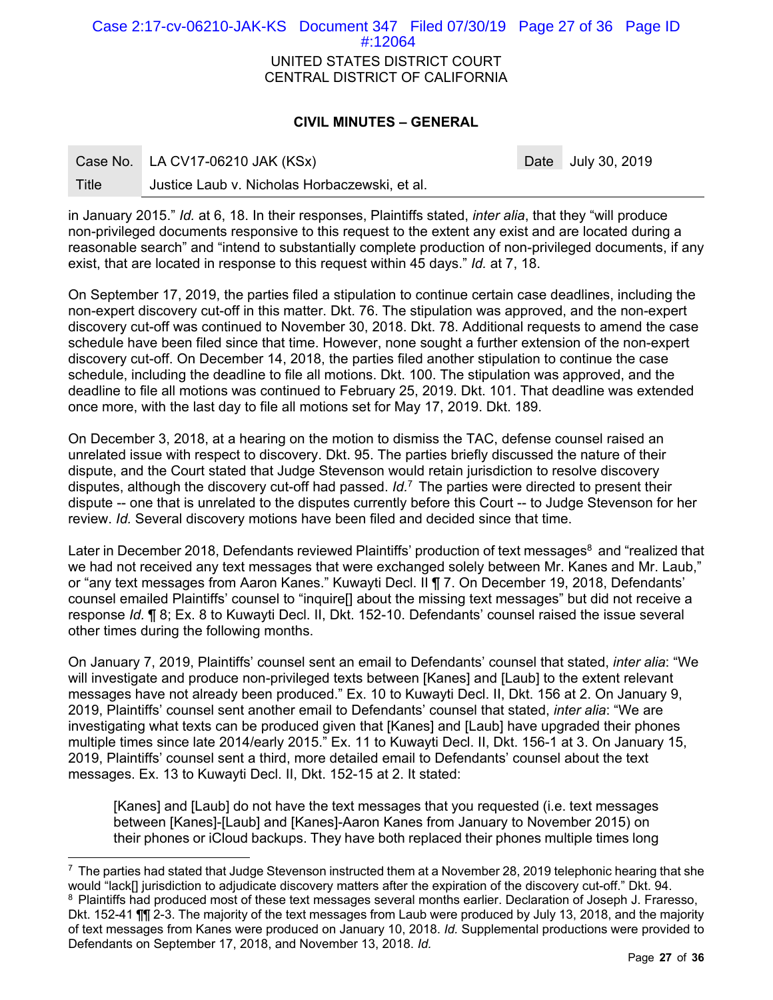| Case 2:17-cv-06210-JAK-KS Document 347 Filed 07/30/19 Page 27 of 36 Page ID | #:12064                                                        |  |  |
|-----------------------------------------------------------------------------|----------------------------------------------------------------|--|--|
|                                                                             | UNITED STATES DISTRICT COURT<br>CENTRAL DISTRICT OF CALIFORNIA |  |  |

# **CIVIL MINUTES – GENERAL**

Date July 30, 2019

|       | Case No. LA CV17-06210 JAK (KSx)              |
|-------|-----------------------------------------------|
| Title | Justice Laub v. Nicholas Horbaczewski, et al. |

-

in January 2015." *Id.* at 6, 18. In their responses, Plaintiffs stated, *inter alia*, that they "will produce non-privileged documents responsive to this request to the extent any exist and are located during a reasonable search" and "intend to substantially complete production of non-privileged documents, if any exist, that are located in response to this request within 45 days." *Id.* at 7, 18.

On September 17, 2019, the parties filed a stipulation to continue certain case deadlines, including the non-expert discovery cut-off in this matter. Dkt. 76. The stipulation was approved, and the non-expert discovery cut-off was continued to November 30, 2018. Dkt. 78. Additional requests to amend the case schedule have been filed since that time. However, none sought a further extension of the non-expert discovery cut-off. On December 14, 2018, the parties filed another stipulation to continue the case schedule, including the deadline to file all motions. Dkt. 100. The stipulation was approved, and the deadline to file all motions was continued to February 25, 2019. Dkt. 101. That deadline was extended once more, with the last day to file all motions set for May 17, 2019. Dkt. 189.

On December 3, 2018, at a hearing on the motion to dismiss the TAC, defense counsel raised an unrelated issue with respect to discovery. Dkt. 95. The parties briefly discussed the nature of their dispute, and the Court stated that Judge Stevenson would retain jurisdiction to resolve discovery disputes, although the discovery cut-off had passed. *Id.*7 The parties were directed to present their dispute -- one that is unrelated to the disputes currently before this Court -- to Judge Stevenson for her review. *Id.* Several discovery motions have been filed and decided since that time.

Later in December 2018, Defendants reviewed Plaintiffs' production of text messages<sup>8</sup> and "realized that we had not received any text messages that were exchanged solely between Mr. Kanes and Mr. Laub," or "any text messages from Aaron Kanes." Kuwayti Decl. II ¶ 7. On December 19, 2018, Defendants' counsel emailed Plaintiffs' counsel to "inquire[] about the missing text messages" but did not receive a response *Id.* ¶ 8; Ex. 8 to Kuwayti Decl. II, Dkt. 152-10. Defendants' counsel raised the issue several other times during the following months.

On January 7, 2019, Plaintiffs' counsel sent an email to Defendants' counsel that stated, *inter alia*: "We will investigate and produce non-privileged texts between [Kanes] and [Laub] to the extent relevant messages have not already been produced." Ex. 10 to Kuwayti Decl. II, Dkt. 156 at 2. On January 9, 2019, Plaintiffs' counsel sent another email to Defendants' counsel that stated, *inter alia*: "We are investigating what texts can be produced given that [Kanes] and [Laub] have upgraded their phones multiple times since late 2014/early 2015." Ex. 11 to Kuwayti Decl. II, Dkt. 156-1 at 3. On January 15, 2019, Plaintiffs' counsel sent a third, more detailed email to Defendants' counsel about the text messages. Ex. 13 to Kuwayti Decl. II, Dkt. 152-15 at 2. It stated:

[Kanes] and [Laub] do not have the text messages that you requested (i.e. text messages between [Kanes]-[Laub] and [Kanes]-Aaron Kanes from January to November 2015) on their phones or iCloud backups. They have both replaced their phones multiple times long

 $7$  The parties had stated that Judge Stevenson instructed them at a November 28, 2019 telephonic hearing that she would "lack[] jurisdiction to adjudicate discovery matters after the expiration of the discovery cut-off." Dkt. 94. <sup>8</sup> Plaintiffs had produced most of these text messages several months earlier. Declaration of Joseph J. Fraresso, Dkt. 152-41 ¶¶ 2-3. The majority of the text messages from Laub were produced by July 13, 2018, and the majority of text messages from Kanes were produced on January 10, 2018. *Id.* Supplemental productions were provided to Defendants on September 17, 2018, and November 13, 2018. *Id.*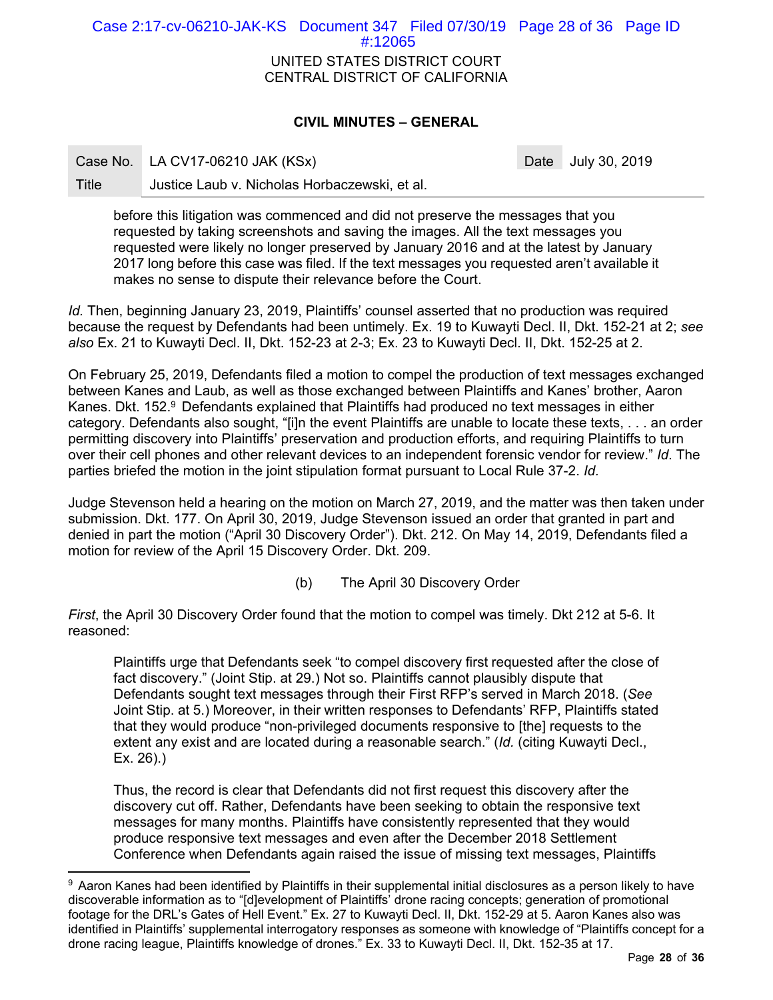UNITED STATES DISTRICT COURT CENTRAL DISTRICT OF CALIFORNIA Case 2:17-cv-06210-JAK-KS Document 347 Filed 07/30/19 Page 28 of 36 Page ID #:12065

# **CIVIL MINUTES – GENERAL**

Case No. LA CV17-06210 JAK (KSx) Case No. 2019

-

Title Justice Laub v. Nicholas Horbaczewski, et al.

before this litigation was commenced and did not preserve the messages that you requested by taking screenshots and saving the images. All the text messages you requested were likely no longer preserved by January 2016 and at the latest by January 2017 long before this case was filed. If the text messages you requested aren't available it makes no sense to dispute their relevance before the Court.

*Id.* Then, beginning January 23, 2019, Plaintiffs' counsel asserted that no production was required because the request by Defendants had been untimely. Ex. 19 to Kuwayti Decl. II, Dkt. 152-21 at 2; *see also* Ex. 21 to Kuwayti Decl. II, Dkt. 152-23 at 2-3; Ex. 23 to Kuwayti Decl. II, Dkt. 152-25 at 2.

On February 25, 2019, Defendants filed a motion to compel the production of text messages exchanged between Kanes and Laub, as well as those exchanged between Plaintiffs and Kanes' brother, Aaron Kanes. Dkt. 152.<sup>9</sup> Defendants explained that Plaintiffs had produced no text messages in either category. Defendants also sought, "[i]n the event Plaintiffs are unable to locate these texts, . . . an order permitting discovery into Plaintiffs' preservation and production efforts, and requiring Plaintiffs to turn over their cell phones and other relevant devices to an independent forensic vendor for review." *Id*. The parties briefed the motion in the joint stipulation format pursuant to Local Rule 37-2. *Id.*

Judge Stevenson held a hearing on the motion on March 27, 2019, and the matter was then taken under submission. Dkt. 177. On April 30, 2019, Judge Stevenson issued an order that granted in part and denied in part the motion ("April 30 Discovery Order"). Dkt. 212. On May 14, 2019, Defendants filed a motion for review of the April 15 Discovery Order. Dkt. 209.

(b) The April 30 Discovery Order

*First*, the April 30 Discovery Order found that the motion to compel was timely. Dkt 212 at 5-6. It reasoned:

Plaintiffs urge that Defendants seek "to compel discovery first requested after the close of fact discovery." (Joint Stip. at 29.) Not so. Plaintiffs cannot plausibly dispute that Defendants sought text messages through their First RFP's served in March 2018. (*See*  Joint Stip. at 5.) Moreover, in their written responses to Defendants' RFP, Plaintiffs stated that they would produce "non-privileged documents responsive to [the] requests to the extent any exist and are located during a reasonable search." (*Id.* (citing Kuwayti Decl., Ex. 26).)

Thus, the record is clear that Defendants did not first request this discovery after the discovery cut off. Rather, Defendants have been seeking to obtain the responsive text messages for many months. Plaintiffs have consistently represented that they would produce responsive text messages and even after the December 2018 Settlement Conference when Defendants again raised the issue of missing text messages, Plaintiffs

<sup>9</sup> Aaron Kanes had been identified by Plaintiffs in their supplemental initial disclosures as a person likely to have discoverable information as to "[d]evelopment of Plaintiffs' drone racing concepts; generation of promotional footage for the DRL's Gates of Hell Event." Ex. 27 to Kuwayti Decl. II, Dkt. 152-29 at 5. Aaron Kanes also was identified in Plaintiffs' supplemental interrogatory responses as someone with knowledge of "Plaintiffs concept for a drone racing league, Plaintiffs knowledge of drones." Ex. 33 to Kuwayti Decl. II, Dkt. 152-35 at 17.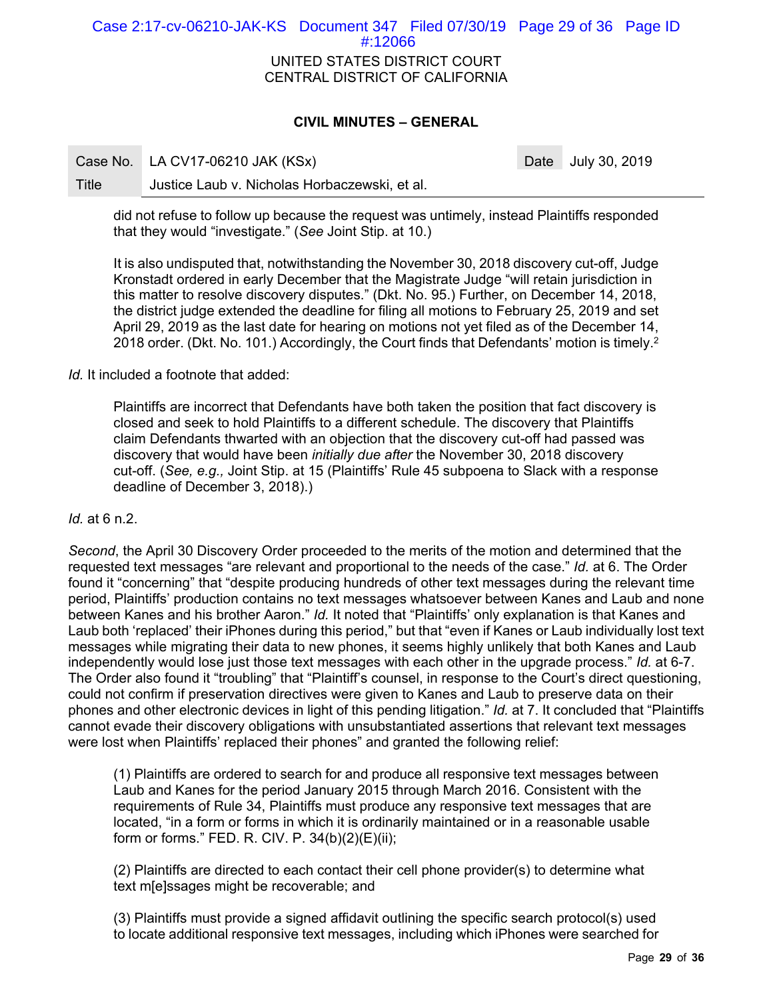# UNITED STATES DISTRICT COURT CENTRAL DISTRICT OF CALIFORNIA Case 2:17-cv-06210-JAK-KS Document 347 Filed 07/30/19 Page 29 of 36 Page ID #:12066

# **CIVIL MINUTES – GENERAL**

Case No. LA CV17-06210 JAK (KSx) Case No. 2019

Title Justice Laub v. Nicholas Horbaczewski, et al.

did not refuse to follow up because the request was untimely, instead Plaintiffs responded that they would "investigate." (*See* Joint Stip. at 10.)

It is also undisputed that, notwithstanding the November 30, 2018 discovery cut-off, Judge Kronstadt ordered in early December that the Magistrate Judge "will retain jurisdiction in this matter to resolve discovery disputes." (Dkt. No. 95.) Further, on December 14, 2018, the district judge extended the deadline for filing all motions to February 25, 2019 and set April 29, 2019 as the last date for hearing on motions not yet filed as of the December 14, 2018 order. (Dkt. No. 101.) Accordingly, the Court finds that Defendants' motion is timely.<sup>2</sup>

*Id.* It included a footnote that added:

Plaintiffs are incorrect that Defendants have both taken the position that fact discovery is closed and seek to hold Plaintiffs to a different schedule. The discovery that Plaintiffs claim Defendants thwarted with an objection that the discovery cut-off had passed was discovery that would have been *initially due after* the November 30, 2018 discovery cut-off. (*See, e.g.,* Joint Stip. at 15 (Plaintiffs' Rule 45 subpoena to Slack with a response deadline of December 3, 2018).)

*Id.* at 6 n.2.

*Second*, the April 30 Discovery Order proceeded to the merits of the motion and determined that the requested text messages "are relevant and proportional to the needs of the case." *Id.* at 6. The Order found it "concerning" that "despite producing hundreds of other text messages during the relevant time period, Plaintiffs' production contains no text messages whatsoever between Kanes and Laub and none between Kanes and his brother Aaron." *Id.* It noted that "Plaintiffs' only explanation is that Kanes and Laub both 'replaced' their iPhones during this period," but that "even if Kanes or Laub individually lost text messages while migrating their data to new phones, it seems highly unlikely that both Kanes and Laub independently would lose just those text messages with each other in the upgrade process." *Id.* at 6-7. The Order also found it "troubling" that "Plaintiff's counsel, in response to the Court's direct questioning, could not confirm if preservation directives were given to Kanes and Laub to preserve data on their phones and other electronic devices in light of this pending litigation." *Id.* at 7. It concluded that "Plaintiffs cannot evade their discovery obligations with unsubstantiated assertions that relevant text messages were lost when Plaintiffs' replaced their phones" and granted the following relief:

(1) Plaintiffs are ordered to search for and produce all responsive text messages between Laub and Kanes for the period January 2015 through March 2016. Consistent with the requirements of Rule 34, Plaintiffs must produce any responsive text messages that are located, "in a form or forms in which it is ordinarily maintained or in a reasonable usable form or forms." FED. R. CIV. P. 34(b)(2)(E)(ii);

(2) Plaintiffs are directed to each contact their cell phone provider(s) to determine what text m[e]ssages might be recoverable; and

(3) Plaintiffs must provide a signed affidavit outlining the specific search protocol(s) used to locate additional responsive text messages, including which iPhones were searched for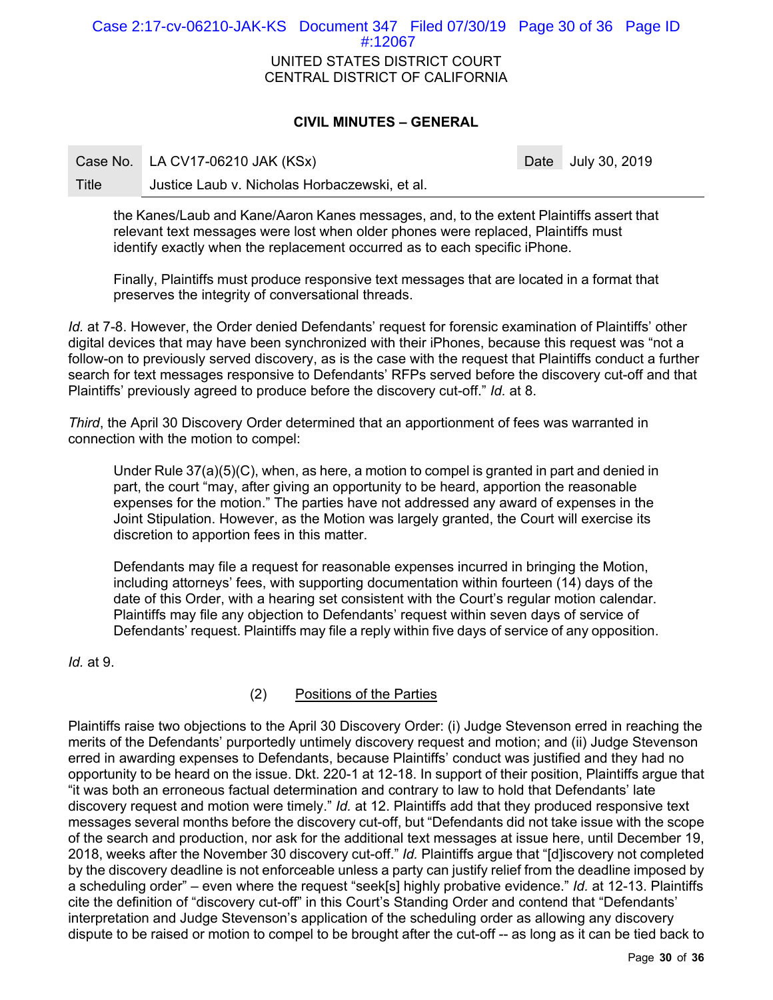UNITED STATES DISTRICT COURT CENTRAL DISTRICT OF CALIFORNIA Case 2:17-cv-06210-JAK-KS Document 347 Filed 07/30/19 Page 30 of 36 Page ID #:12067

# **CIVIL MINUTES – GENERAL**

Case No. LA CV17-06210 JAK (KSx) Case No. 2019

Title Justice Laub v. Nicholas Horbaczewski, et al.

the Kanes/Laub and Kane/Aaron Kanes messages, and, to the extent Plaintiffs assert that relevant text messages were lost when older phones were replaced, Plaintiffs must identify exactly when the replacement occurred as to each specific iPhone.

Finally, Plaintiffs must produce responsive text messages that are located in a format that preserves the integrity of conversational threads.

*Id.* at 7-8. However, the Order denied Defendants' request for forensic examination of Plaintiffs' other digital devices that may have been synchronized with their iPhones, because this request was "not a follow-on to previously served discovery, as is the case with the request that Plaintiffs conduct a further search for text messages responsive to Defendants' RFPs served before the discovery cut-off and that Plaintiffs' previously agreed to produce before the discovery cut-off." *Id.* at 8.

*Third*, the April 30 Discovery Order determined that an apportionment of fees was warranted in connection with the motion to compel:

Under Rule 37(a)(5)(C), when, as here, a motion to compel is granted in part and denied in part, the court "may, after giving an opportunity to be heard, apportion the reasonable expenses for the motion." The parties have not addressed any award of expenses in the Joint Stipulation. However, as the Motion was largely granted, the Court will exercise its discretion to apportion fees in this matter.

Defendants may file a request for reasonable expenses incurred in bringing the Motion, including attorneys' fees, with supporting documentation within fourteen (14) days of the date of this Order, with a hearing set consistent with the Court's regular motion calendar. Plaintiffs may file any objection to Defendants' request within seven days of service of Defendants' request. Plaintiffs may file a reply within five days of service of any opposition.

*Id.* at 9.

# (2) Positions of the Parties

Plaintiffs raise two objections to the April 30 Discovery Order: (i) Judge Stevenson erred in reaching the merits of the Defendants' purportedly untimely discovery request and motion; and (ii) Judge Stevenson erred in awarding expenses to Defendants, because Plaintiffs' conduct was justified and they had no opportunity to be heard on the issue. Dkt. 220-1 at 12-18. In support of their position, Plaintiffs argue that "it was both an erroneous factual determination and contrary to law to hold that Defendants' late discovery request and motion were timely." *Id.* at 12. Plaintiffs add that they produced responsive text messages several months before the discovery cut-off, but "Defendants did not take issue with the scope of the search and production, nor ask for the additional text messages at issue here, until December 19, 2018, weeks after the November 30 discovery cut-off." *Id.* Plaintiffs argue that "[d]iscovery not completed by the discovery deadline is not enforceable unless a party can justify relief from the deadline imposed by a scheduling order" – even where the request "seek[s] highly probative evidence." *Id.* at 12-13. Plaintiffs cite the definition of "discovery cut-off" in this Court's Standing Order and contend that "Defendants' interpretation and Judge Stevenson's application of the scheduling order as allowing any discovery dispute to be raised or motion to compel to be brought after the cut-off -- as long as it can be tied back to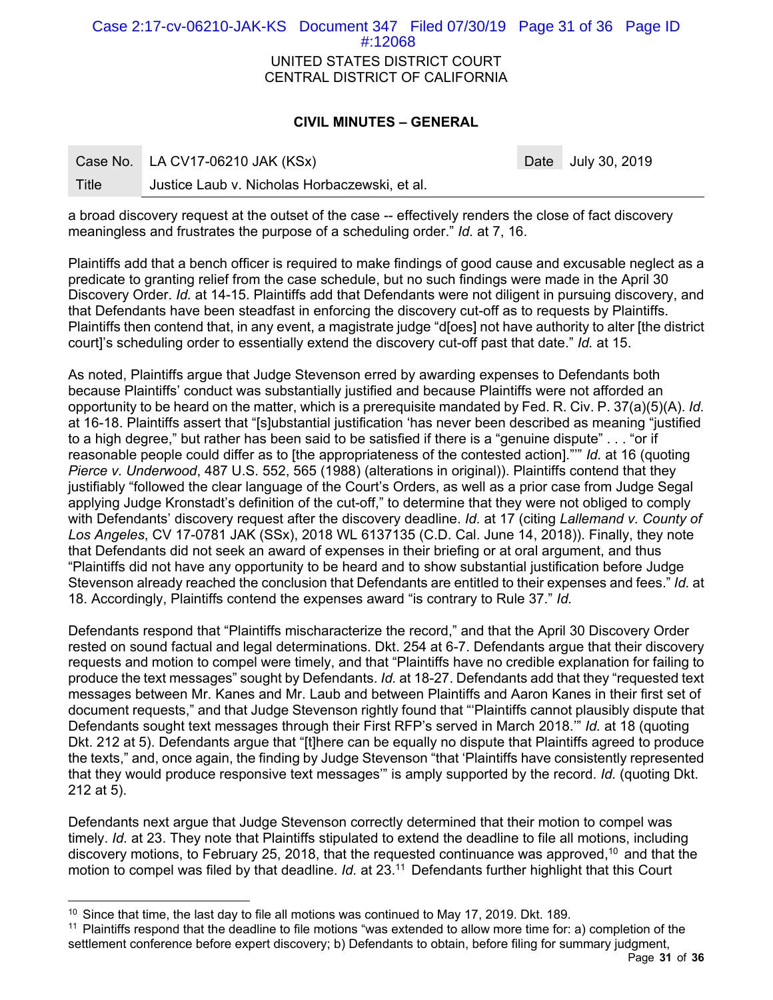# UNITED STATES DISTRICT COURT CENTRAL DISTRICT OF CALIFORNIA Case 2:17-cv-06210-JAK-KS Document 347 Filed 07/30/19 Page 31 of 36 Page ID #:12068

# **CIVIL MINUTES – GENERAL**

|       | Case No. LA CV17-06210 JAK (KSx)              | Date |
|-------|-----------------------------------------------|------|
| Title | Justice Laub v. Nicholas Horbaczewski, et al. |      |

a broad discovery request at the outset of the case -- effectively renders the close of fact discovery meaningless and frustrates the purpose of a scheduling order." *Id.* at 7, 16.

Plaintiffs add that a bench officer is required to make findings of good cause and excusable neglect as a predicate to granting relief from the case schedule, but no such findings were made in the April 30 Discovery Order. *Id.* at 14-15. Plaintiffs add that Defendants were not diligent in pursuing discovery, and that Defendants have been steadfast in enforcing the discovery cut-off as to requests by Plaintiffs. Plaintiffs then contend that, in any event, a magistrate judge "d[oes] not have authority to alter [the district court]'s scheduling order to essentially extend the discovery cut-off past that date." *Id.* at 15.

As noted, Plaintiffs argue that Judge Stevenson erred by awarding expenses to Defendants both because Plaintiffs' conduct was substantially justified and because Plaintiffs were not afforded an opportunity to be heard on the matter, which is a prerequisite mandated by Fed. R. Civ. P. 37(a)(5)(A). *Id.*  at 16-18. Plaintiffs assert that "[s]ubstantial justification 'has never been described as meaning "justified to a high degree," but rather has been said to be satisfied if there is a "genuine dispute" . . . "or if reasonable people could differ as to [the appropriateness of the contested action]."'" *Id.* at 16 (quoting *Pierce v. Underwood*, 487 U.S. 552, 565 (1988) (alterations in original)). Plaintiffs contend that they justifiably "followed the clear language of the Court's Orders, as well as a prior case from Judge Segal applying Judge Kronstadt's definition of the cut-off," to determine that they were not obliged to comply with Defendants' discovery request after the discovery deadline. *Id.* at 17 (citing *Lallemand v. County of Los Angeles*, CV 17-0781 JAK (SSx), 2018 WL 6137135 (C.D. Cal. June 14, 2018)). Finally, they note that Defendants did not seek an award of expenses in their briefing or at oral argument, and thus "Plaintiffs did not have any opportunity to be heard and to show substantial justification before Judge Stevenson already reached the conclusion that Defendants are entitled to their expenses and fees." *Id.* at 18. Accordingly, Plaintiffs contend the expenses award "is contrary to Rule 37." *Id.* 

Defendants respond that "Plaintiffs mischaracterize the record," and that the April 30 Discovery Order rested on sound factual and legal determinations. Dkt. 254 at 6-7. Defendants argue that their discovery requests and motion to compel were timely, and that "Plaintiffs have no credible explanation for failing to produce the text messages" sought by Defendants. *Id.* at 18-27. Defendants add that they "requested text messages between Mr. Kanes and Mr. Laub and between Plaintiffs and Aaron Kanes in their first set of document requests," and that Judge Stevenson rightly found that "'Plaintiffs cannot plausibly dispute that Defendants sought text messages through their First RFP's served in March 2018.'" *Id.* at 18 (quoting Dkt. 212 at 5). Defendants argue that "[t]here can be equally no dispute that Plaintiffs agreed to produce the texts," and, once again, the finding by Judge Stevenson "that 'Plaintiffs have consistently represented that they would produce responsive text messages'" is amply supported by the record. *Id.* (quoting Dkt. 212 at 5).

Defendants next argue that Judge Stevenson correctly determined that their motion to compel was timely. *Id.* at 23. They note that Plaintiffs stipulated to extend the deadline to file all motions, including discovery motions, to February 25, 2018, that the requested continuance was approved,<sup>10</sup> and that the motion to compel was filed by that deadline. *Id.* at 23.11 Defendants further highlight that this Court

-

July 30, 2019

<sup>&</sup>lt;sup>10</sup> Since that time, the last day to file all motions was continued to May 17, 2019. Dkt. 189.

<sup>11</sup> Plaintiffs respond that the deadline to file motions "was extended to allow more time for: a) completion of the settlement conference before expert discovery; b) Defendants to obtain, before filing for summary judgment,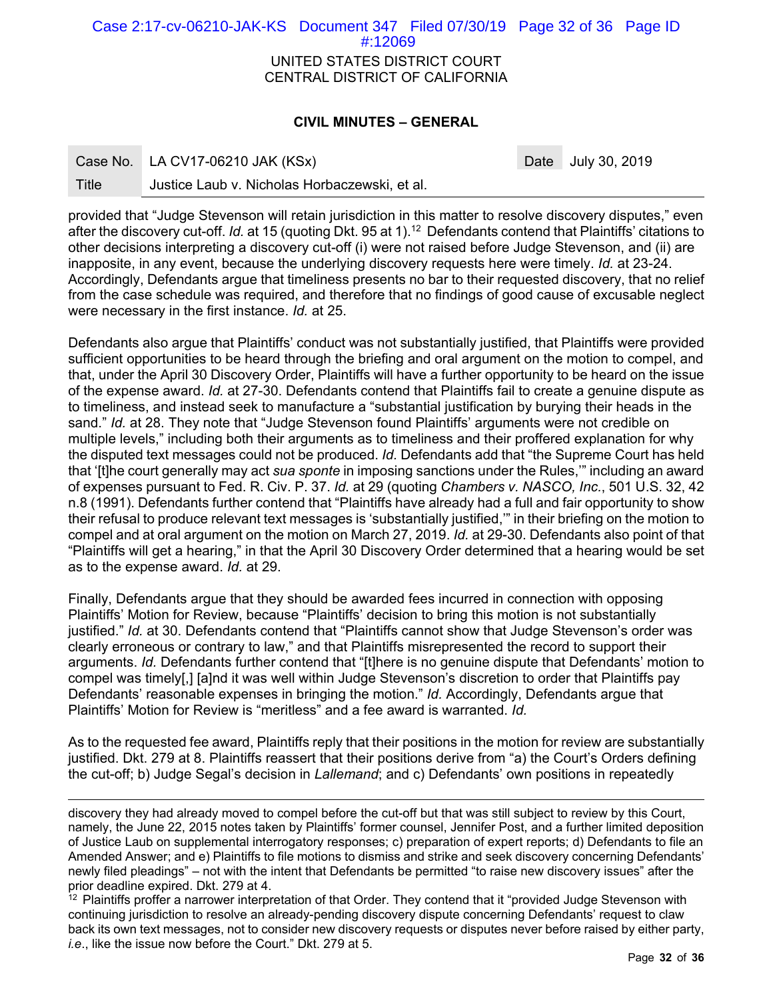UNITED STATES DISTRICT COURT CENTRAL DISTRICT OF CALIFORNIA Case 2:17-cv-06210-JAK-KS Document 347 Filed 07/30/19 Page 32 of 36 Page ID #:12069

# **CIVIL MINUTES – GENERAL**

| Case No. | LA CV17-06210 JAK (KSx) |
|----------|-------------------------|
|          |                         |

Date July 30, 2019

Title Justice Laub v. Nicholas Horbaczewski, et al.

provided that "Judge Stevenson will retain jurisdiction in this matter to resolve discovery disputes," even after the discovery cut-off. *Id.* at 15 (quoting Dkt. 95 at 1).12 Defendants contend that Plaintiffs' citations to other decisions interpreting a discovery cut-off (i) were not raised before Judge Stevenson, and (ii) are inapposite, in any event, because the underlying discovery requests here were timely. *Id.* at 23-24. Accordingly, Defendants argue that timeliness presents no bar to their requested discovery, that no relief from the case schedule was required, and therefore that no findings of good cause of excusable neglect were necessary in the first instance. *Id.* at 25.

Defendants also argue that Plaintiffs' conduct was not substantially justified, that Plaintiffs were provided sufficient opportunities to be heard through the briefing and oral argument on the motion to compel, and that, under the April 30 Discovery Order, Plaintiffs will have a further opportunity to be heard on the issue of the expense award. *Id.* at 27-30. Defendants contend that Plaintiffs fail to create a genuine dispute as to timeliness, and instead seek to manufacture a "substantial justification by burying their heads in the sand." *Id.* at 28. They note that "Judge Stevenson found Plaintiffs' arguments were not credible on multiple levels," including both their arguments as to timeliness and their proffered explanation for why the disputed text messages could not be produced. *Id.* Defendants add that "the Supreme Court has held that '[t]he court generally may act *sua sponte* in imposing sanctions under the Rules,'" including an award of expenses pursuant to Fed. R. Civ. P. 37. *Id.* at 29 (quoting *Chambers v. NASCO, Inc.*, 501 U.S. 32, 42 n.8 (1991). Defendants further contend that "Plaintiffs have already had a full and fair opportunity to show their refusal to produce relevant text messages is 'substantially justified,'" in their briefing on the motion to compel and at oral argument on the motion on March 27, 2019. *Id.* at 29-30. Defendants also point of that "Plaintiffs will get a hearing," in that the April 30 Discovery Order determined that a hearing would be set as to the expense award. *Id.* at 29.

Finally, Defendants argue that they should be awarded fees incurred in connection with opposing Plaintiffs' Motion for Review, because "Plaintiffs' decision to bring this motion is not substantially justified." *Id.* at 30. Defendants contend that "Plaintiffs cannot show that Judge Stevenson's order was clearly erroneous or contrary to law," and that Plaintiffs misrepresented the record to support their arguments. *Id.* Defendants further contend that "[t]here is no genuine dispute that Defendants' motion to compel was timely[,] [a]nd it was well within Judge Stevenson's discretion to order that Plaintiffs pay Defendants' reasonable expenses in bringing the motion." *Id.* Accordingly, Defendants argue that Plaintiffs' Motion for Review is "meritless" and a fee award is warranted. *Id.* 

As to the requested fee award, Plaintiffs reply that their positions in the motion for review are substantially justified. Dkt. 279 at 8. Plaintiffs reassert that their positions derive from "a) the Court's Orders defining the cut-off; b) Judge Segal's decision in *Lallemand*; and c) Defendants' own positions in repeatedly

discovery they had already moved to compel before the cut-off but that was still subject to review by this Court, namely, the June 22, 2015 notes taken by Plaintiffs' former counsel, Jennifer Post, and a further limited deposition of Justice Laub on supplemental interrogatory responses; c) preparation of expert reports; d) Defendants to file an Amended Answer; and e) Plaintiffs to file motions to dismiss and strike and seek discovery concerning Defendants' newly filed pleadings" – not with the intent that Defendants be permitted "to raise new discovery issues" after the prior deadline expired. Dkt. 279 at 4.

 $12$  Plaintiffs proffer a narrower interpretation of that Order. They contend that it "provided Judge Stevenson with continuing jurisdiction to resolve an already-pending discovery dispute concerning Defendants' request to claw back its own text messages, not to consider new discovery requests or disputes never before raised by either party, *i.e*., like the issue now before the Court." Dkt. 279 at 5.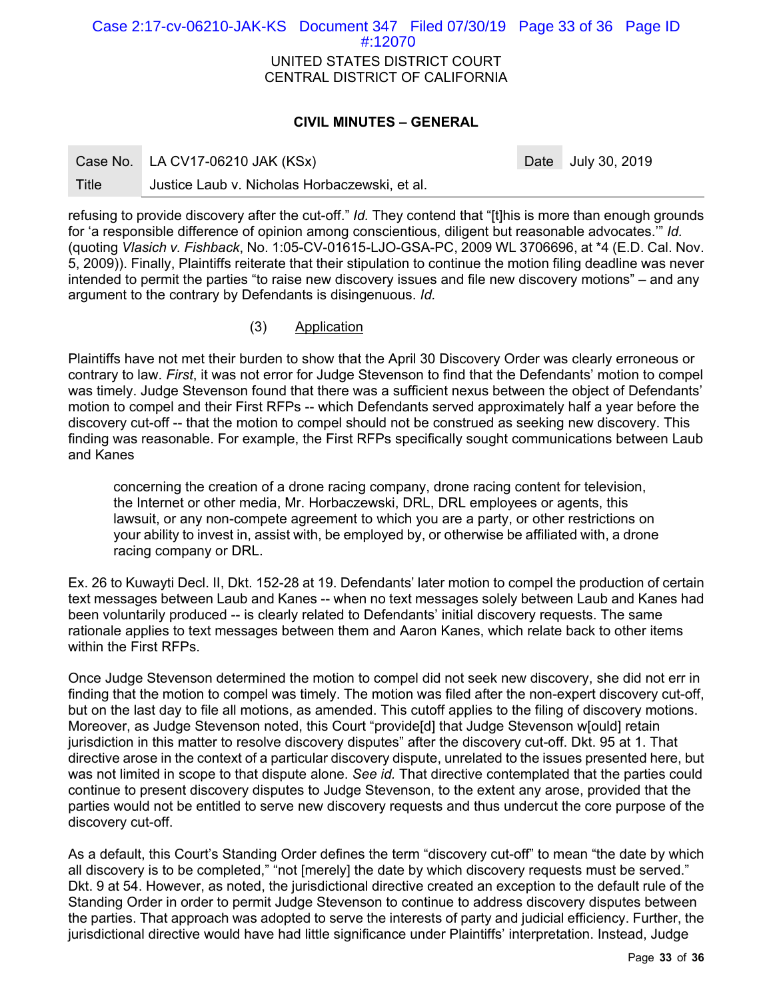UNITED STATES DISTRICT COURT CENTRAL DISTRICT OF CALIFORNIA Case 2:17-cv-06210-JAK-KS Document 347 Filed 07/30/19 Page 33 of 36 Page ID #:12070

# **CIVIL MINUTES – GENERAL**

Date July 30, 2019

Title Justice Laub v. Nicholas Horbaczewski, et al.

refusing to provide discovery after the cut-off." *Id.* They contend that "[t]his is more than enough grounds for 'a responsible difference of opinion among conscientious, diligent but reasonable advocates.'" *Id.*  (quoting *Vlasich v. Fishback*, No. 1:05-CV-01615-LJO-GSA-PC, 2009 WL 3706696, at \*4 (E.D. Cal. Nov. 5, 2009)). Finally, Plaintiffs reiterate that their stipulation to continue the motion filing deadline was never intended to permit the parties "to raise new discovery issues and file new discovery motions" – and any argument to the contrary by Defendants is disingenuous. *Id.* 

# (3) Application

Plaintiffs have not met their burden to show that the April 30 Discovery Order was clearly erroneous or contrary to law. *First*, it was not error for Judge Stevenson to find that the Defendants' motion to compel was timely. Judge Stevenson found that there was a sufficient nexus between the object of Defendants' motion to compel and their First RFPs -- which Defendants served approximately half a year before the discovery cut-off -- that the motion to compel should not be construed as seeking new discovery. This finding was reasonable. For example, the First RFPs specifically sought communications between Laub and Kanes

concerning the creation of a drone racing company, drone racing content for television, the Internet or other media, Mr. Horbaczewski, DRL, DRL employees or agents, this lawsuit, or any non-compete agreement to which you are a party, or other restrictions on your ability to invest in, assist with, be employed by, or otherwise be affiliated with, a drone racing company or DRL.

Ex. 26 to Kuwayti Decl. II, Dkt. 152-28 at 19. Defendants' later motion to compel the production of certain text messages between Laub and Kanes -- when no text messages solely between Laub and Kanes had been voluntarily produced -- is clearly related to Defendants' initial discovery requests. The same rationale applies to text messages between them and Aaron Kanes, which relate back to other items within the First RFPs.

Once Judge Stevenson determined the motion to compel did not seek new discovery, she did not err in finding that the motion to compel was timely. The motion was filed after the non-expert discovery cut-off, but on the last day to file all motions, as amended. This cutoff applies to the filing of discovery motions. Moreover, as Judge Stevenson noted, this Court "provide[d] that Judge Stevenson w[ould] retain jurisdiction in this matter to resolve discovery disputes" after the discovery cut-off. Dkt. 95 at 1. That directive arose in the context of a particular discovery dispute, unrelated to the issues presented here, but was not limited in scope to that dispute alone. *See id.* That directive contemplated that the parties could continue to present discovery disputes to Judge Stevenson, to the extent any arose, provided that the parties would not be entitled to serve new discovery requests and thus undercut the core purpose of the discovery cut-off.

As a default, this Court's Standing Order defines the term "discovery cut-off" to mean "the date by which all discovery is to be completed," "not [merely] the date by which discovery requests must be served." Dkt. 9 at 54. However, as noted, the jurisdictional directive created an exception to the default rule of the Standing Order in order to permit Judge Stevenson to continue to address discovery disputes between the parties. That approach was adopted to serve the interests of party and judicial efficiency. Further, the jurisdictional directive would have had little significance under Plaintiffs' interpretation. Instead, Judge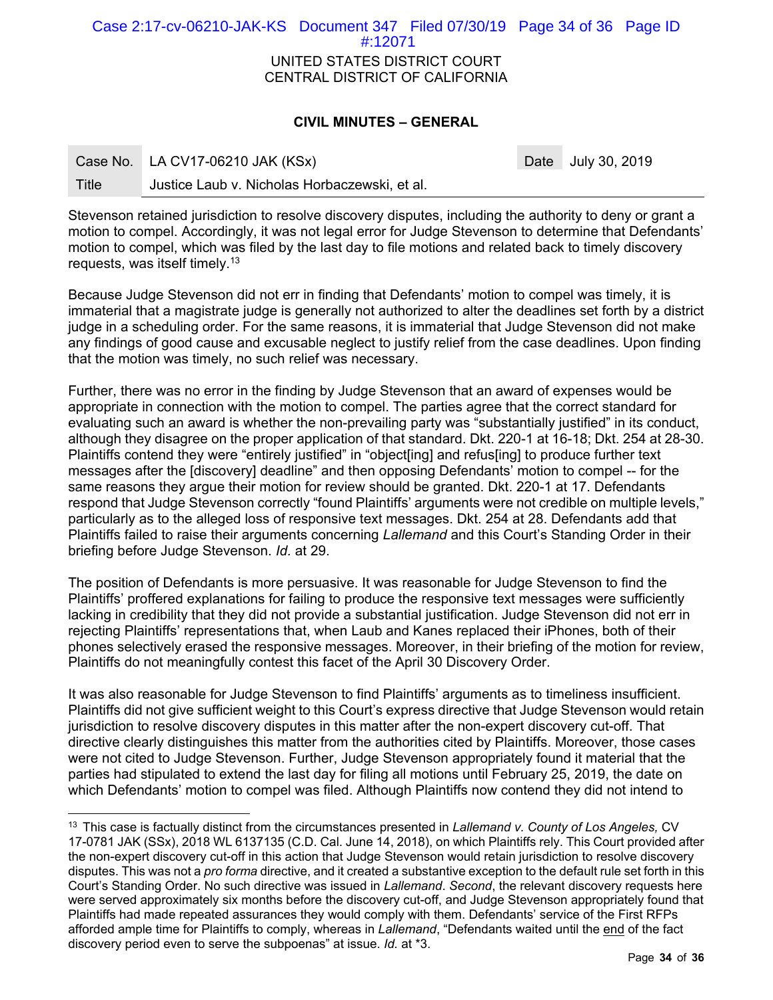| Case 2:17-cv-06210-JAK-KS Document 347 Filed 07/30/19 Page 34 of 36 Page ID | #12071 |  |  |  |  |  |  |
|-----------------------------------------------------------------------------|--------|--|--|--|--|--|--|
| UNITED STATES DISTRICT COURT<br>CENTRAL DISTRICT OF CALIFORNIA              |        |  |  |  |  |  |  |

## **CIVIL MINUTES – GENERAL**

|       | Case No. LA CV17-06210 JAK (KSx)              |  |  |
|-------|-----------------------------------------------|--|--|
| Title | Justice Laub v. Nicholas Horbaczewski, et al. |  |  |

-

Date July 30, 2019

Stevenson retained jurisdiction to resolve discovery disputes, including the authority to deny or grant a motion to compel. Accordingly, it was not legal error for Judge Stevenson to determine that Defendants' motion to compel, which was filed by the last day to file motions and related back to timely discovery requests, was itself timely.13

Because Judge Stevenson did not err in finding that Defendants' motion to compel was timely, it is immaterial that a magistrate judge is generally not authorized to alter the deadlines set forth by a district judge in a scheduling order. For the same reasons, it is immaterial that Judge Stevenson did not make any findings of good cause and excusable neglect to justify relief from the case deadlines. Upon finding that the motion was timely, no such relief was necessary.

Further, there was no error in the finding by Judge Stevenson that an award of expenses would be appropriate in connection with the motion to compel. The parties agree that the correct standard for evaluating such an award is whether the non-prevailing party was "substantially justified" in its conduct, although they disagree on the proper application of that standard. Dkt. 220-1 at 16-18; Dkt. 254 at 28-30. Plaintiffs contend they were "entirely justified" in "object[ing] and refus[ing] to produce further text messages after the [discovery] deadline" and then opposing Defendants' motion to compel -- for the same reasons they argue their motion for review should be granted. Dkt. 220-1 at 17. Defendants respond that Judge Stevenson correctly "found Plaintiffs' arguments were not credible on multiple levels," particularly as to the alleged loss of responsive text messages. Dkt. 254 at 28. Defendants add that Plaintiffs failed to raise their arguments concerning *Lallemand* and this Court's Standing Order in their briefing before Judge Stevenson. *Id.* at 29.

The position of Defendants is more persuasive. It was reasonable for Judge Stevenson to find the Plaintiffs' proffered explanations for failing to produce the responsive text messages were sufficiently lacking in credibility that they did not provide a substantial justification. Judge Stevenson did not err in rejecting Plaintiffs' representations that, when Laub and Kanes replaced their iPhones, both of their phones selectively erased the responsive messages. Moreover, in their briefing of the motion for review, Plaintiffs do not meaningfully contest this facet of the April 30 Discovery Order.

It was also reasonable for Judge Stevenson to find Plaintiffs' arguments as to timeliness insufficient. Plaintiffs did not give sufficient weight to this Court's express directive that Judge Stevenson would retain jurisdiction to resolve discovery disputes in this matter after the non-expert discovery cut-off. That directive clearly distinguishes this matter from the authorities cited by Plaintiffs. Moreover, those cases were not cited to Judge Stevenson. Further, Judge Stevenson appropriately found it material that the parties had stipulated to extend the last day for filing all motions until February 25, 2019, the date on which Defendants' motion to compel was filed. Although Plaintiffs now contend they did not intend to

<sup>13</sup> This case is factually distinct from the circumstances presented in *Lallemand v. County of Los Angeles,* CV 17-0781 JAK (SSx), 2018 WL 6137135 (C.D. Cal. June 14, 2018), on which Plaintiffs rely. This Court provided after the non-expert discovery cut-off in this action that Judge Stevenson would retain jurisdiction to resolve discovery disputes. This was not a *pro forma* directive, and it created a substantive exception to the default rule set forth in this Court's Standing Order. No such directive was issued in *Lallemand*. *Second*, the relevant discovery requests here were served approximately six months before the discovery cut-off, and Judge Stevenson appropriately found that Plaintiffs had made repeated assurances they would comply with them. Defendants' service of the First RFPs afforded ample time for Plaintiffs to comply, whereas in *Lallemand*, "Defendants waited until the end of the fact discovery period even to serve the subpoenas" at issue. *Id.* at \*3.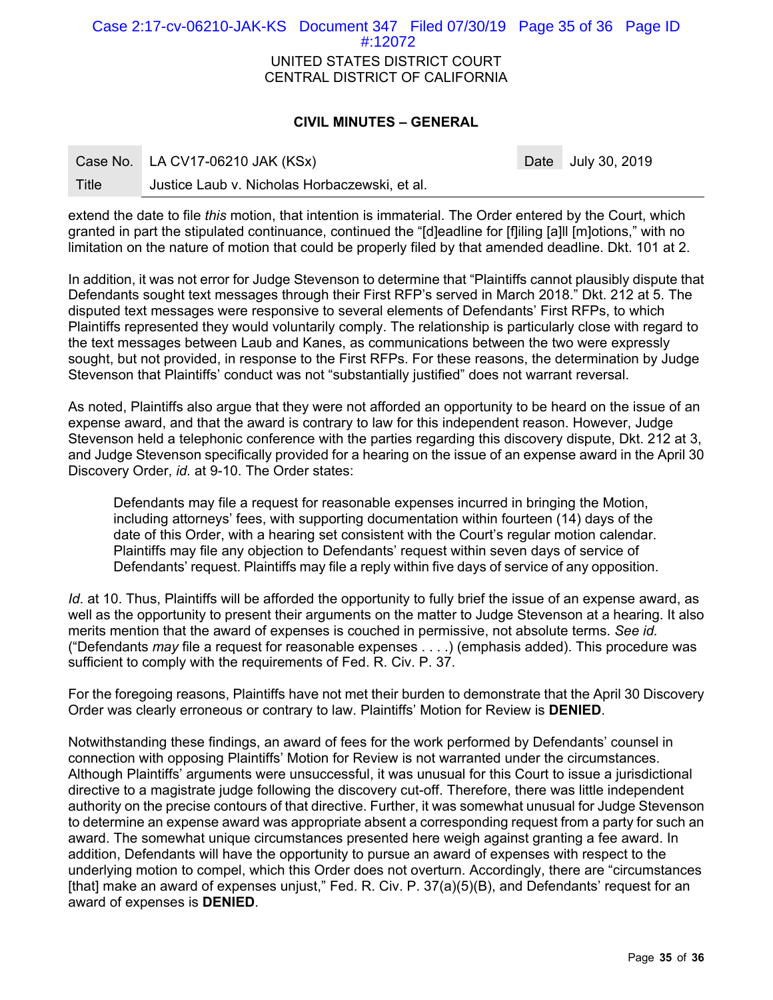UNITED STATES DISTRICT COURT CENTRAL DISTRICT OF CALIFORNIA Case 2:17-cv-06210-JAK-KS Document 347 Filed 07/30/19 Page 35 of 36 Page ID #:12072

### **CIVIL MINUTES – GENERAL**

|       | Case No. LA CV17-06210 JAK (KSx)              | Date July 30, 2019 |
|-------|-----------------------------------------------|--------------------|
| Title | Justice Laub v. Nicholas Horbaczewski, et al. |                    |

extend the date to file *this* motion, that intention is immaterial. The Order entered by the Court, which granted in part the stipulated continuance, continued the "[d]eadline for [f]iling [a]ll [m]otions," with no limitation on the nature of motion that could be properly filed by that amended deadline. Dkt. 101 at 2.

In addition, it was not error for Judge Stevenson to determine that "Plaintiffs cannot plausibly dispute that Defendants sought text messages through their First RFP's served in March 2018." Dkt. 212 at 5. The disputed text messages were responsive to several elements of Defendants' First RFPs, to which Plaintiffs represented they would voluntarily comply. The relationship is particularly close with regard to the text messages between Laub and Kanes, as communications between the two were expressly sought, but not provided, in response to the First RFPs. For these reasons, the determination by Judge Stevenson that Plaintiffs' conduct was not "substantially justified" does not warrant reversal.

As noted, Plaintiffs also argue that they were not afforded an opportunity to be heard on the issue of an expense award, and that the award is contrary to law for this independent reason. However, Judge Stevenson held a telephonic conference with the parties regarding this discovery dispute, Dkt. 212 at 3, and Judge Stevenson specifically provided for a hearing on the issue of an expense award in the April 30 Discovery Order, *id.* at 9-10. The Order states:

Defendants may file a request for reasonable expenses incurred in bringing the Motion, including attorneys' fees, with supporting documentation within fourteen (14) days of the date of this Order, with a hearing set consistent with the Court's regular motion calendar. Plaintiffs may file any objection to Defendants' request within seven days of service of Defendants' request. Plaintiffs may file a reply within five days of service of any opposition.

*Id*. at 10. Thus, Plaintiffs will be afforded the opportunity to fully brief the issue of an expense award, as well as the opportunity to present their arguments on the matter to Judge Stevenson at a hearing. It also merits mention that the award of expenses is couched in permissive, not absolute terms. *See id.*  ("Defendants *may* file a request for reasonable expenses . . . .) (emphasis added). This procedure was sufficient to comply with the requirements of Fed. R. Civ. P. 37.

For the foregoing reasons, Plaintiffs have not met their burden to demonstrate that the April 30 Discovery Order was clearly erroneous or contrary to law. Plaintiffs' Motion for Review is **DENIED**.

Notwithstanding these findings, an award of fees for the work performed by Defendants' counsel in connection with opposing Plaintiffs' Motion for Review is not warranted under the circumstances. Although Plaintiffs' arguments were unsuccessful, it was unusual for this Court to issue a jurisdictional directive to a magistrate judge following the discovery cut-off. Therefore, there was little independent authority on the precise contours of that directive. Further, it was somewhat unusual for Judge Stevenson to determine an expense award was appropriate absent a corresponding request from a party for such an award. The somewhat unique circumstances presented here weigh against granting a fee award. In addition, Defendants will have the opportunity to pursue an award of expenses with respect to the underlying motion to compel, which this Order does not overturn. Accordingly, there are "circumstances [that] make an award of expenses unjust," Fed. R. Civ. P. 37(a)(5)(B), and Defendants' request for an award of expenses is **DENIED**.